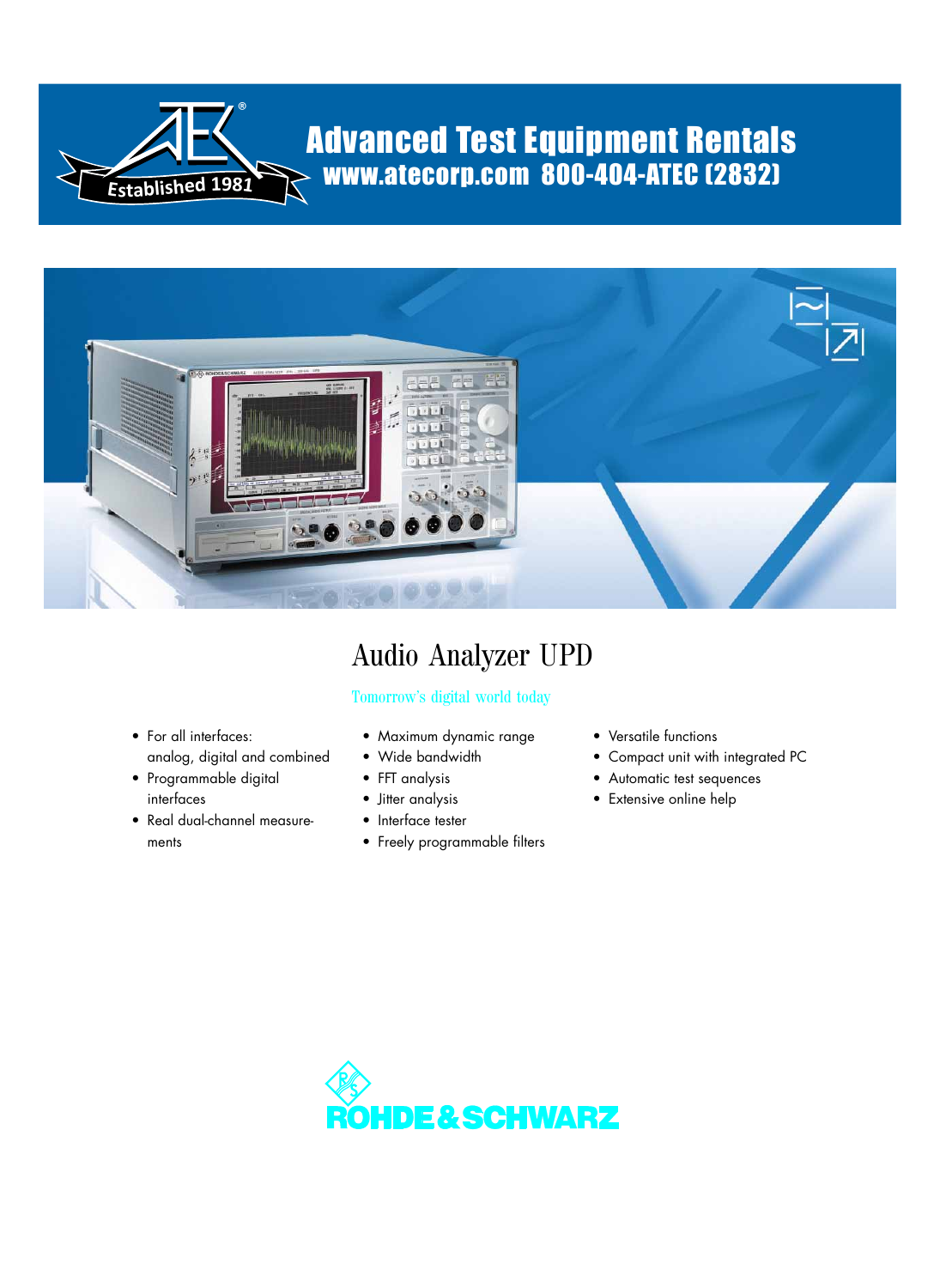

# Advanced Test Equipment Rentals www.atecorp.com 800-404-ATEC (2832)



# Audio Analyzer UPD

# Tomorrow's digital world today

- For all interfaces: analog, digital and combined
- Programmable digital interfaces
- Real dual-channel measurements
- Maximum dynamic range
- Wide bandwidth
- FFT analysis
- Jitter analysis
- Interface tester
- Freely programmable filters
- Versatile functions
- Compact unit with integrated PC
- Automatic test sequences
- Extensive online help

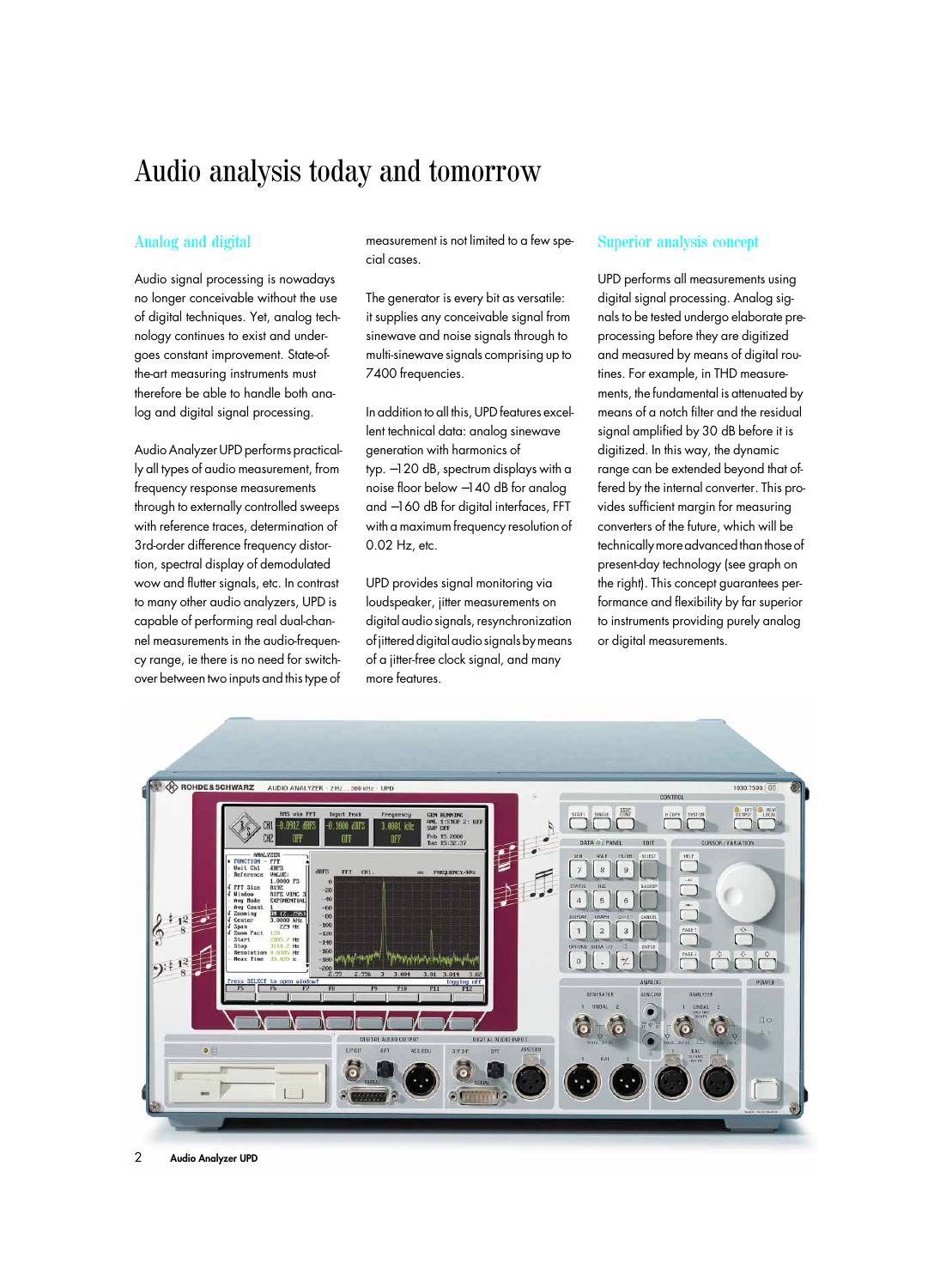# Audio analysis today and tomorrow

# Analog and digital

Audio signal processing is nowadays no longer conceivable without the use of digital techniques. Yet, analog technology continues to exist and undergoes constant improvement. State-ofthe-art measuring instruments must therefore be able to handle both analog and digital signal processing.

Audio Analyzer UPD performs practically all types of audio measurement, from frequency response measurements through to externally controlled sweeps with reference traces, determination of 3rd-order difference frequency distortion, spectral display of demodulated wow and flutter signals, etc. In contrast to many other audio analyzers, UPD is capable of performing real dual-channel measurements in the audio-frequency range, ie there is no need for switchover between two inputs and this type of

measurement is not limited to a few special cases.

The generator is every bit as versatile: it supplies any conceivable signal from sinewave and noise signals through to multi-sinewave signals comprising up to 7400 frequencies.

In addition to all this, UPD features excellent technical data: analog sinewave generation with harmonics of typ. −120 dB, spectrum displays with a noise floor below −140 dB for analog and −160 dB for digital interfaces, FFT with a maximum frequency resolution of 0.02 Hz, etc.

UPD provides signal monitoring via loudspeaker, jitter measurements on digital audio signals, resynchronization of jittered digital audio signals by means of a jitter-free clock signal, and many more features.

# Superior analysis concept

UPD performs all measurements using digital signal processing. Analog signals to be tested undergo elaborate preprocessing before they are digitized and measured by means of digital routines. For example, in THD measurements, the fundamental is attenuated by means of a notch filter and the residual signal amplified by 30 dB before it is digitized. In this way, the dynamic range can be extended beyond that offered by the internal converter. This provides sufficient margin for measuring converters of the future, which will be technically more advanced than those of present-day technology (see graph on the right). This concept guarantees performance and flexibility by far superior to instruments providing purely analog or digital measurements.

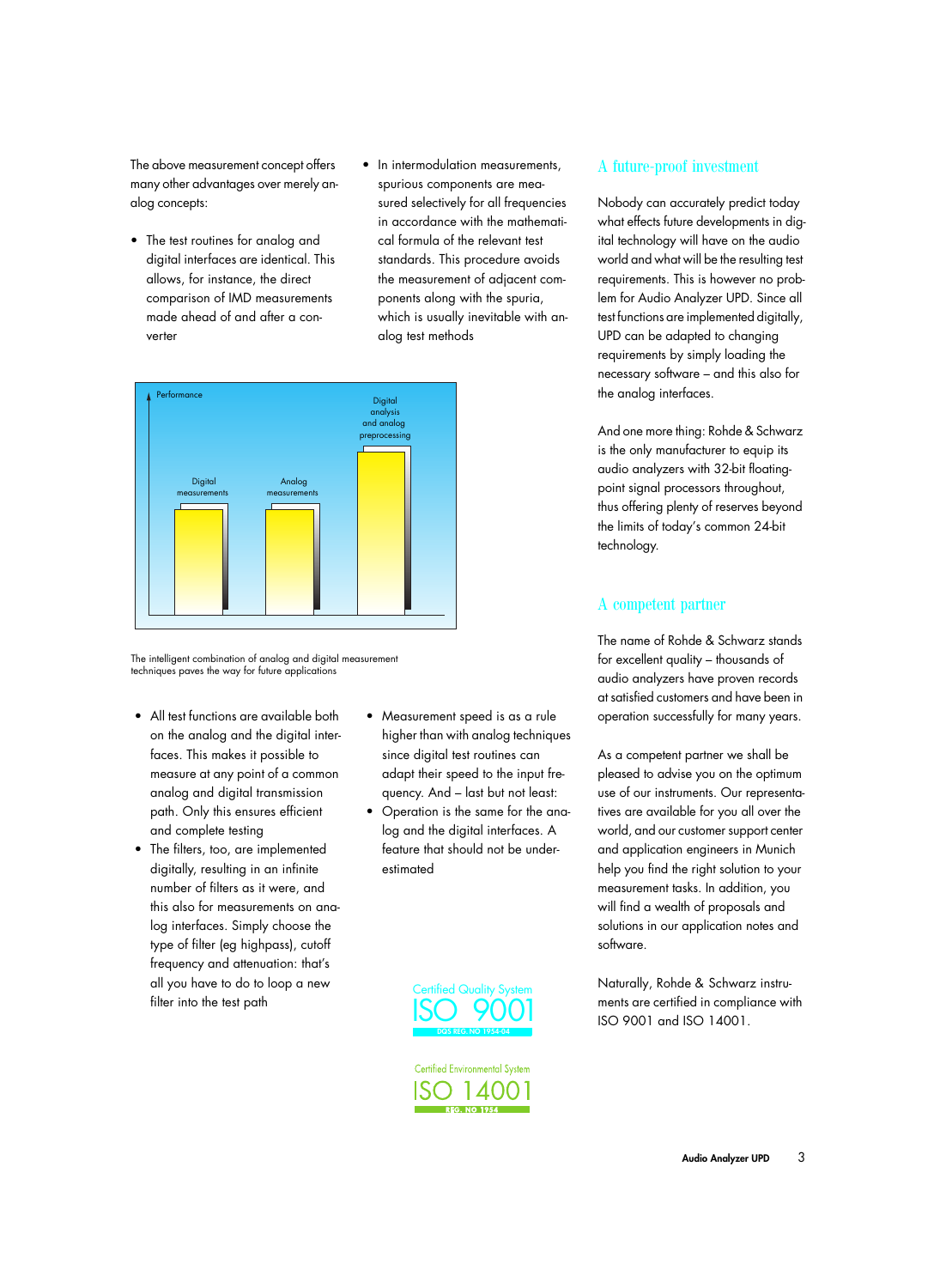The above measurement concept offers many other advantages over merely analog concepts:

- The test routines for analog and digital interfaces are identical. This allows, for instance, the direct comparison of IMD measurements made ahead of and after a converter
- In intermodulation measurements, spurious components are measured selectively for all frequencies in accordance with the mathematical formula of the relevant test standards. This procedure avoids the measurement of adjacent components along with the spuria, which is usually inevitable with analog test methods



The intelligent combination of analog and digital measurement techniques paves the way for future applications

- All test functions are available both on the analog and the digital interfaces. This makes it possible to measure at any point of a common analog and digital transmission path. Only this ensures efficient and complete testing
- The filters, too, are implemented digitally, resulting in an infinite number of filters as it were, and this also for measurements on analog interfaces. Simply choose the type of filter (eg highpass), cutoff frequency and attenuation: that's all you have to do to loop a new filter into the test path
- Measurement speed is as a rule higher than with analog techniques since digital test routines can adapt their speed to the input frequency. And – last but not least:
- Operation is the same for the analog and the digital interfaces. A feature that should not be underestimated



**Certified Environmental System** 14001

# A future-proof investment

Nobody can accurately predict today what effects future developments in digital technology will have on the audio world and what will be the resulting test requirements. This is however no problem for Audio Analyzer UPD. Since all test functions are implemented digitally, UPD can be adapted to changing requirements by simply loading the necessary software – and this also for the analog interfaces.

And one more thing: Rohde & Schwarz is the only manufacturer to equip its audio analyzers with 32-bit floatingpoint signal processors throughout, thus offering plenty of reserves beyond the limits of today's common 24-bit technology.

# A competent partner

The name of Rohde & Schwarz stands for excellent quality – thousands of audio analyzers have proven records at satisfied customers and have been in operation successfully for many years.

As a competent partner we shall be pleased to advise you on the optimum use of our instruments. Our representatives are available for you all over the world, and our customer support center and application engineers in Munich help you find the right solution to your measurement tasks. In addition, you will find a wealth of proposals and solutions in our application notes and software.

Naturally, Rohde & Schwarz instruments are certified in compliance with ISO 9001 and ISO 14001.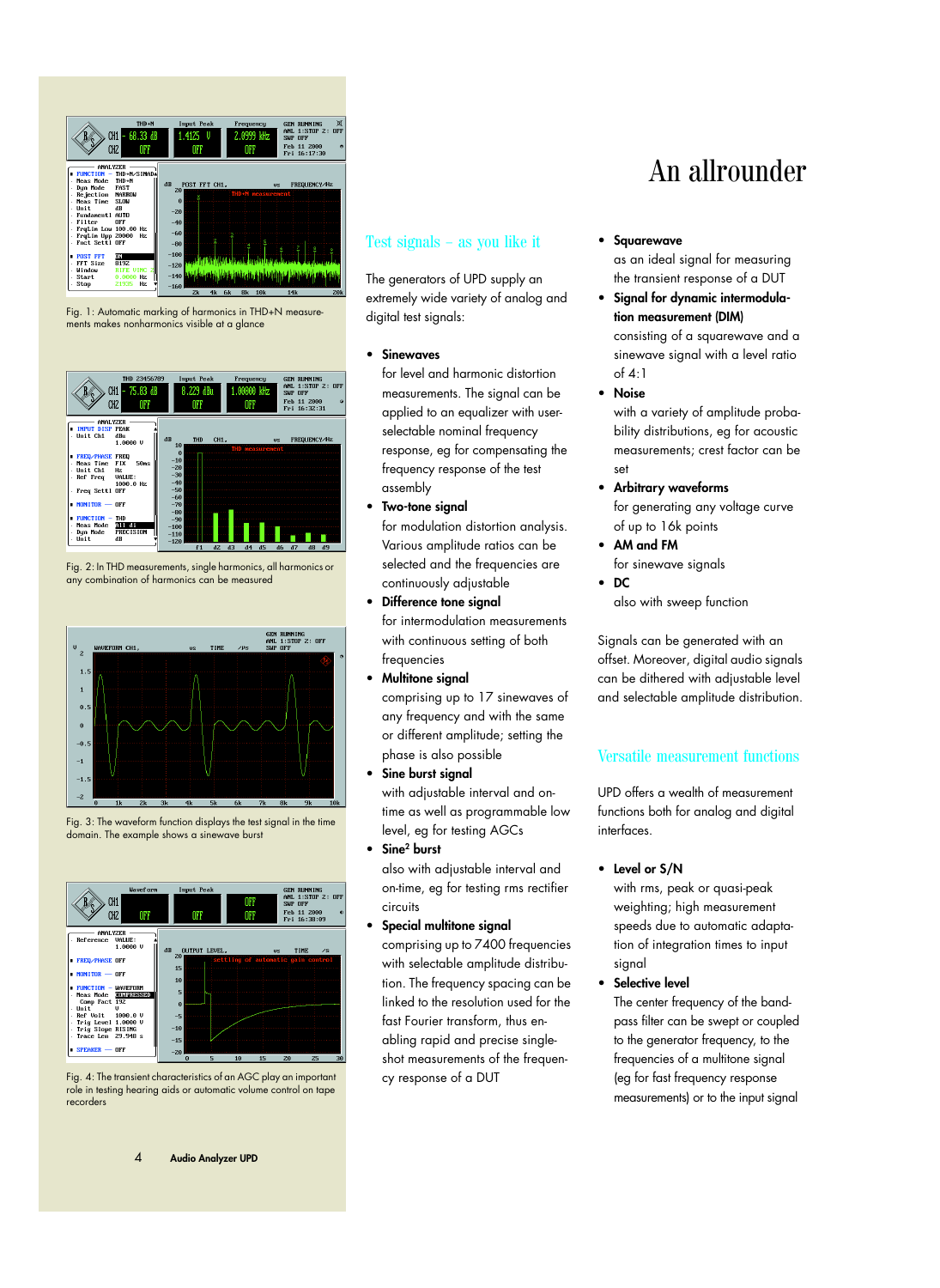

Fig. 1: Automatic marking of harmonics in THD+N measurements makes nonharmonics visible at a glance



Fig. 2: In THD measurements, single harmonics, all harmonics or any combination of harmonics can be measured



Fig. 3: The waveform function displays the test signal in the time domain. The example shows a sinewave burst



Fig. 4: The transient characteristics of an AGC play an important role in testing hearing aids or automatic volume control on tape recorders

# Test signals – as you like it

The generators of UPD supply an extremely wide variety of analog and digital test signals:

• **Sinewaves**

for level and harmonic distortion measurements. The signal can be applied to an equalizer with userselectable nominal frequency response, eg for compensating the frequency response of the test assembly

• **Two-tone signal**

for modulation distortion analysis. Various amplitude ratios can be selected and the frequencies are continuously adjustable

- **Difference tone signal** for intermodulation measurements with continuous setting of both frequencies
- **Multitone signal**

comprising up to 17 sinewaves of any frequency and with the same or different amplitude; setting the phase is also possible

• **Sine burst signal** with adjustable interval and ontime as well as programmable low level, eg for testing AGCs • **Sine2 burst**

also with adjustable interval and on-time, eg for testing rms rectifier circuits

• **Special multitone signal** comprising up to 7400 frequencies with selectable amplitude distribution. The frequency spacing can be linked to the resolution used for the fast Fourier transform, thus enabling rapid and precise singleshot measurements of the frequency response of a DUT

# An allrounder

• **Squarewave**

as an ideal signal for measuring the transient response of a DUT

- **Signal for dynamic intermodulation measurement (DIM)** consisting of a squarewave and a sinewave signal with a level ratio of 4:1
- **Noise**

with a variety of amplitude probability distributions, eg for acoustic measurements; crest factor can be set

- **Arbitrary waveforms** for generating any voltage curve of up to 16k points
- **AM and FM** for sinewave signals

• **DC** also with sweep function

Signals can be generated with an offset. Moreover, digital audio signals can be dithered with adjustable level and selectable amplitude distribution.

# Versatile measurement functions

UPD offers a wealth of measurement functions both for analog and digital interfaces.

# • **Level or S/N**

with rms, peak or quasi-peak weighting; high measurement speeds due to automatic adaptation of integration times to input signal

• **Selective level** 

The center frequency of the bandpass filter can be swept or coupled to the generator frequency, to the frequencies of a multitone signal (eg for fast frequency response measurements) or to the input signal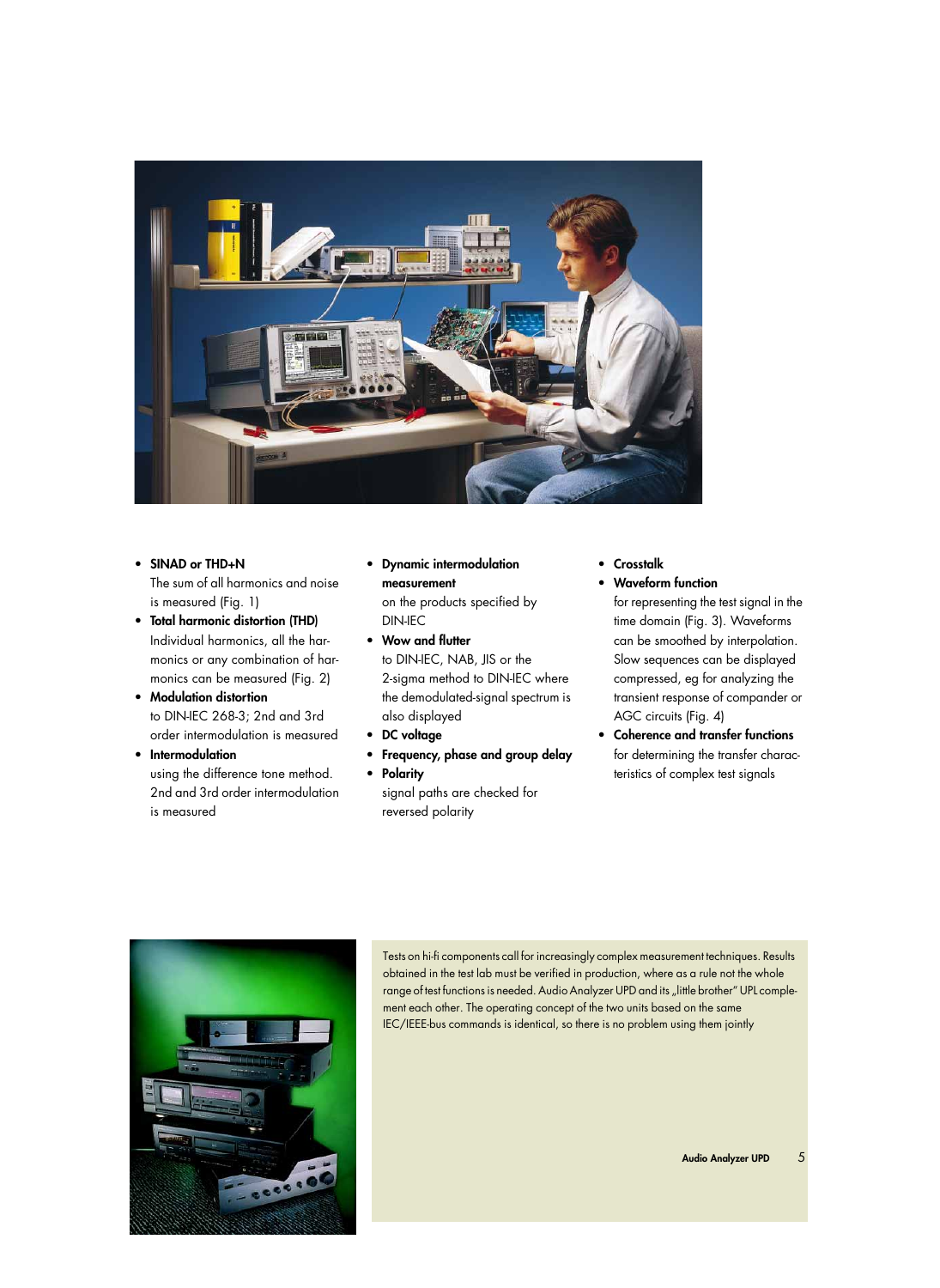

- **SINAD or THD+N**  The sum of all harmonics and noise is measured (Fig. 1) • **Total harmonic distortion (THD)**
- Individual harmonics, all the harmonics or any combination of harmonics can be measured (Fig. 2)
- **Modulation distortion**  to DIN-IEC 268-3; 2nd and 3rd order intermodulation is measured
- **Intermodulation**  using the difference tone method. 2nd and 3rd order intermodulation is measured
- **Dynamic intermodulation measurement** on the products specified by DIN-IEC
- **Wow and flutter**  to DIN-IEC, NAB, JIS or the 2-sigma method to DIN-IEC where the demodulated-signal spectrum is also displayed
- **DC voltage**
- **Frequency, phase and group delay**
- **Polarity**  signal paths are checked for reversed polarity
- **Crosstalk**
- **Waveform function**

for representing the test signal in the time domain (Fig. 3). Waveforms can be smoothed by interpolation. Slow sequences can be displayed compressed, eg for analyzing the transient response of compander or AGC circuits (Fig. 4)

• **Coherence and transfer functions** for determining the transfer characteristics of complex test signals



Tests on hi-fi components call for increasingly complex measurement techniques. Results obtained in the test lab must be verified in production, where as a rule not the whole range of test functions is needed. Audio Analyzer UPD and its "little brother" UPL complement each other. The operating concept of the two units based on the same IEC/IEEE-bus commands is identical, so there is no problem using them jointly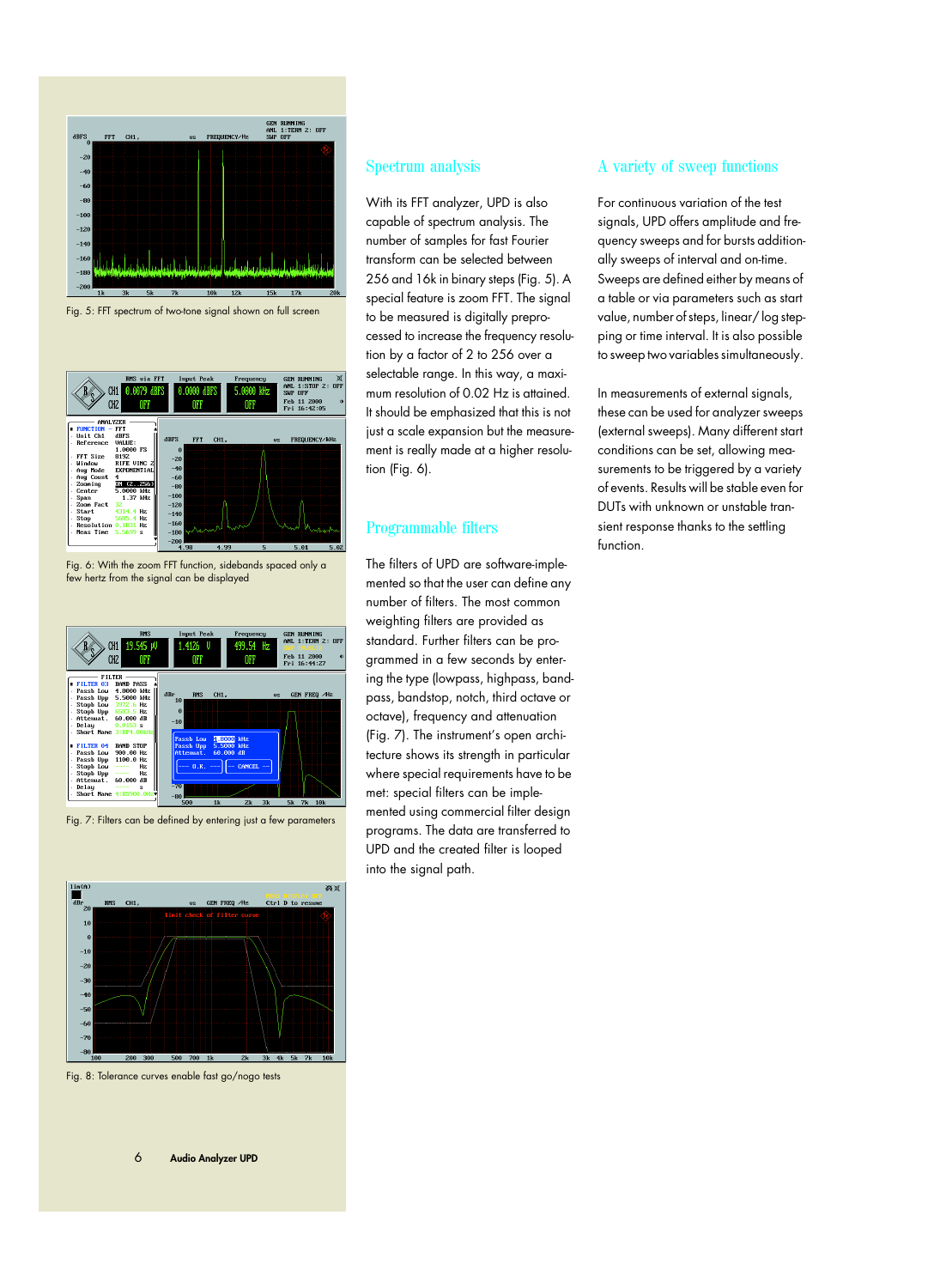

Fig. 5: FFT spectrum of two-tone signal shown on full screen



Fig. 6: With the zoom FFT function, sidebands spaced only a few hertz from the signal can be displayed



Fig. 7: Filters can be defined by entering just a few parameters



Fig. 8: Tolerance curves enable fast go/nogo tests

## Spectrum analysis

With its FFT analyzer, UPD is also capable of spectrum analysis. The number of samples for fast Fourier transform can be selected between 256 and 16k in binary steps (Fig. 5). A special feature is zoom FFT. The signal to be measured is digitally preprocessed to increase the frequency resolution by a factor of 2 to 256 over a selectable range. In this way, a maximum resolution of 0.02 Hz is attained. It should be emphasized that this is not just a scale expansion but the measurement is really made at a higher resolution (Fig. 6).

# Programmable filters

The filters of UPD are software-implemented so that the user can define any number of filters. The most common weighting filters are provided as standard. Further filters can be programmed in a few seconds by entering the type (lowpass, highpass, bandpass, bandstop, notch, third octave or octave), frequency and attenuation (Fig. 7). The instrument's open architecture shows its strength in particular where special requirements have to be met: special filters can be implemented using commercial filter design programs. The data are transferred to UPD and the created filter is looped into the signal path.

# A variety of sweep functions

For continuous variation of the test signals, UPD offers amplitude and frequency sweeps and for bursts additionally sweeps of interval and on-time. Sweeps are defined either by means of a table or via parameters such as start value, number of steps, linear/ log stepping or time interval. It is also possible to sweep two variables simultaneously.

In measurements of external signals, these can be used for analyzer sweeps (external sweeps). Many different start conditions can be set, allowing measurements to be triggered by a variety of events. Results will be stable even for DUTs with unknown or unstable transient response thanks to the settling function.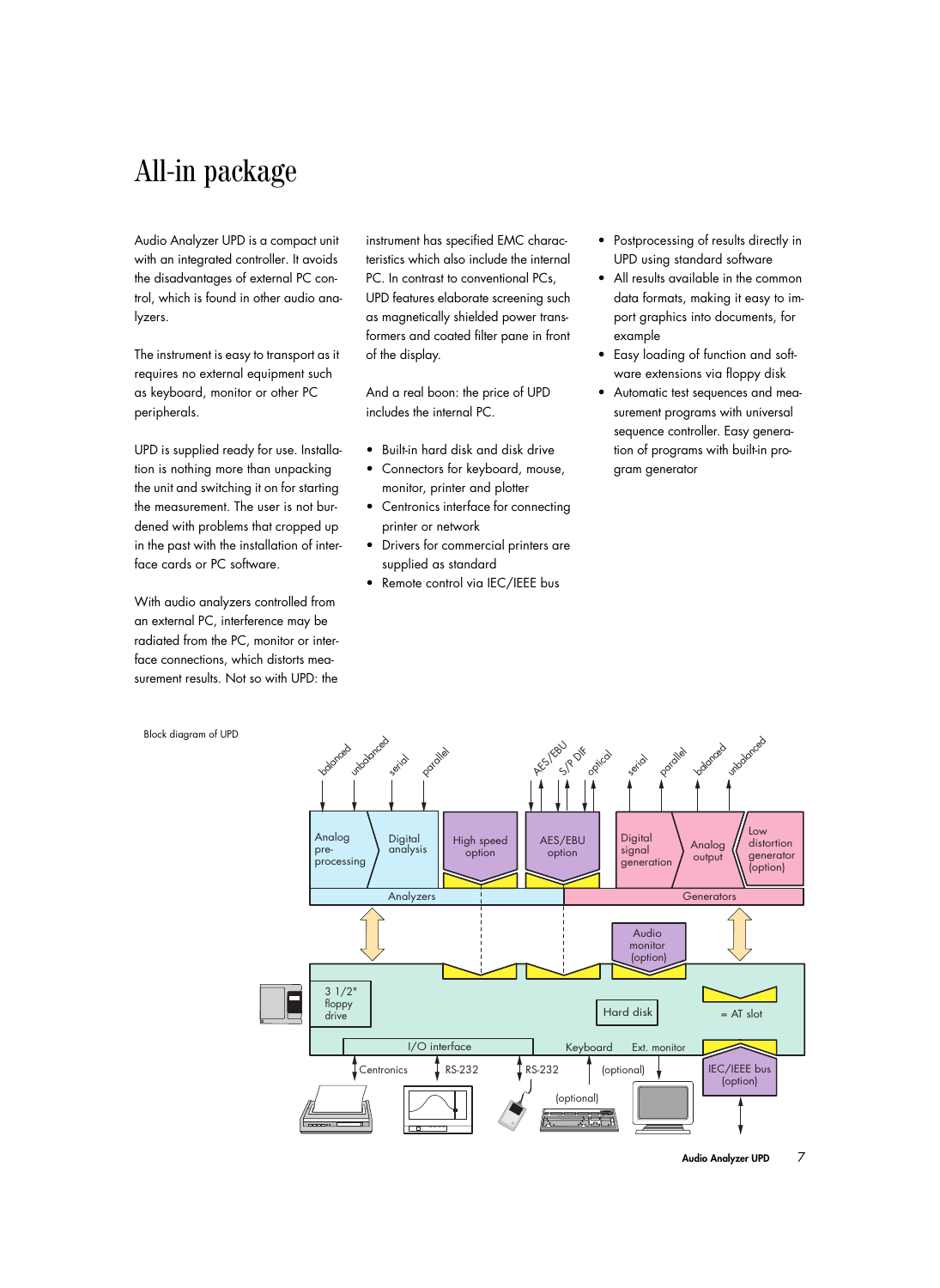# All-in package

Audio Analyzer UPD is a compact unit with an integrated controller. It avoids the disadvantages of external PC control, which is found in other audio analyzers.

The instrument is easy to transport as it requires no external equipment such as keyboard, monitor or other PC peripherals.

UPD is supplied ready for use. Installation is nothing more than unpacking the unit and switching it on for starting the measurement. The user is not burdened with problems that cropped up in the past with the installation of interface cards or PC software.

With audio analyzers controlled from an external PC, interference may be radiated from the PC, monitor or interface connections, which distorts measurement results. Not so with UPD: the instrument has specified EMC characteristics which also include the internal PC. In contrast to conventional PCs, UPD features elaborate screening such as magnetically shielded power transformers and coated filter pane in front of the display.

And a real boon: the price of UPD includes the internal PC.

- Built-in hard disk and disk drive
- Connectors for keyboard, mouse, monitor, printer and plotter
- Centronics interface for connecting printer or network
- Drivers for commercial printers are supplied as standard
- Remote control via IEC/IEEE bus
- Postprocessing of results directly in UPD using standard software
- All results available in the common data formats, making it easy to import graphics into documents, for example
- Easy loading of function and software extensions via floppy disk
- Automatic test sequences and measurement programs with universal sequence controller. Easy generation of programs with built-in program generator



Block diagram of UPD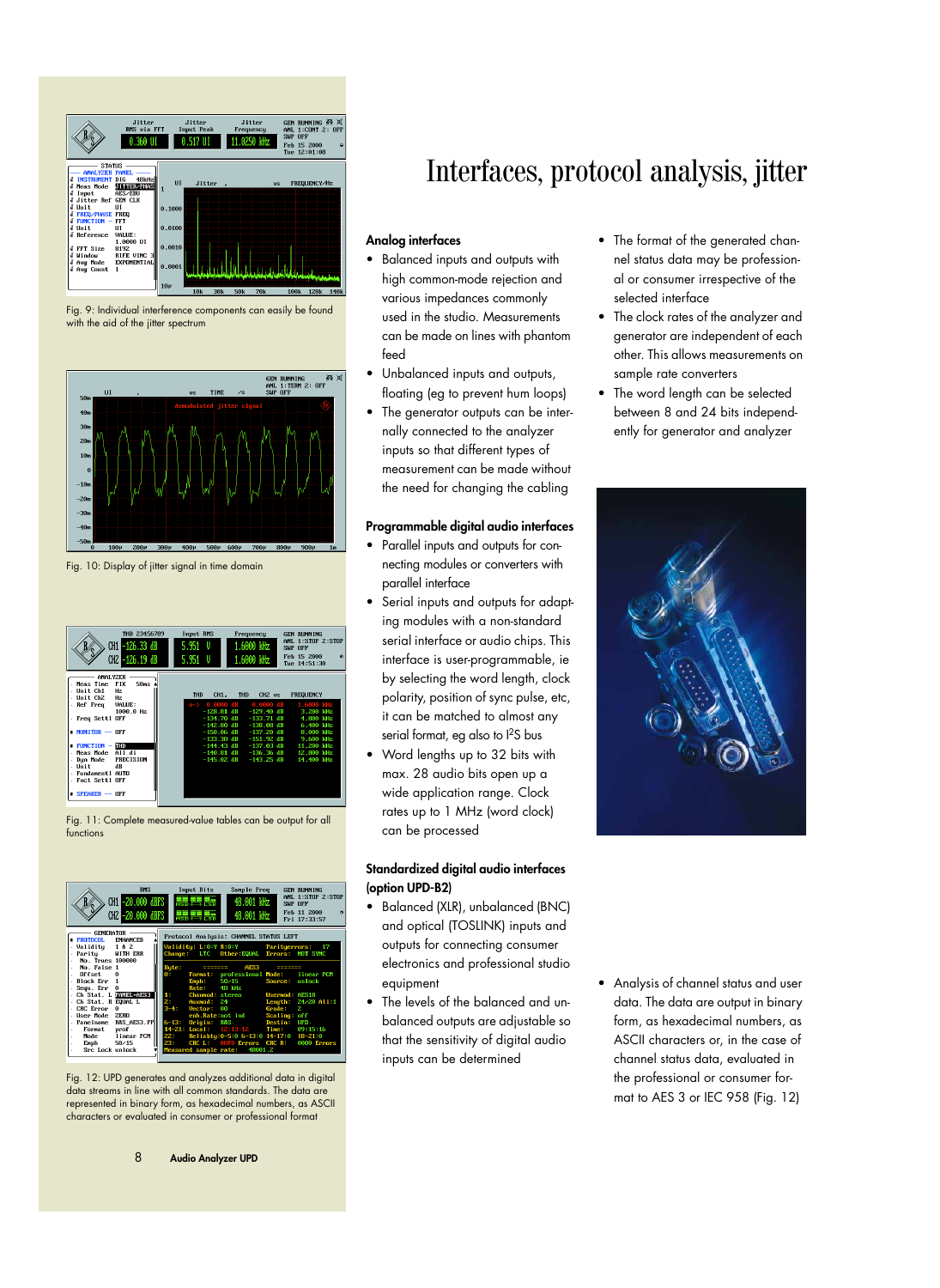





Fig. 10: Display of jitter signal in time domain



Fig. 11: Complete measured-value tables can be output for all functions



Fig. 12: UPD generates and analyzes additional data in digital data streams in line with all common standards. The data are represented in binary form, as hexadecimal numbers, as ASCII characters or evaluated in consumer or professional format

# Interfaces, protocol analysis, jitter

# **Analog interfaces**

- Balanced inputs and outputs with high common-mode rejection and various impedances commonly used in the studio. Measurements can be made on lines with phantom feed
- Unbalanced inputs and outputs, floating (eg to prevent hum loops)
- The generator outputs can be internally connected to the analyzer inputs so that different types of measurement can be made without the need for changing the cabling

### **Programmable digital audio interfaces**

- Parallel inputs and outputs for connecting modules or converters with parallel interface
- Serial inputs and outputs for adapting modules with a non-standard serial interface or audio chips. This interface is user-programmable, ie by selecting the word length, clock polarity, position of sync pulse, etc, it can be matched to almost any serial format, eg also to  $1^2$ S bus
- Word lengths up to 32 bits with max. 28 audio bits open up a wide application range. Clock rates up to 1 MHz (word clock) can be processed

# **Standardized digital audio interfaces (option UPD-B2)**

- Balanced (XLR), unbalanced (BNC) and optical (TOSLINK) inputs and outputs for connecting consumer electronics and professional studio equipment
- The levels of the balanced and unbalanced outputs are adjustable so that the sensitivity of digital audio inputs can be determined
- The format of the generated channel status data may be professional or consumer irrespective of the selected interface
- The clock rates of the analyzer and generator are independent of each other. This allows measurements on sample rate converters
- The word length can be selected between 8 and 24 bits independently for generator and analyzer



• Analysis of channel status and user data. The data are output in binary form, as hexadecimal numbers, as ASCII characters or, in the case of channel status data, evaluated in the professional or consumer format to AES 3 or IEC 958 (Fig. 12)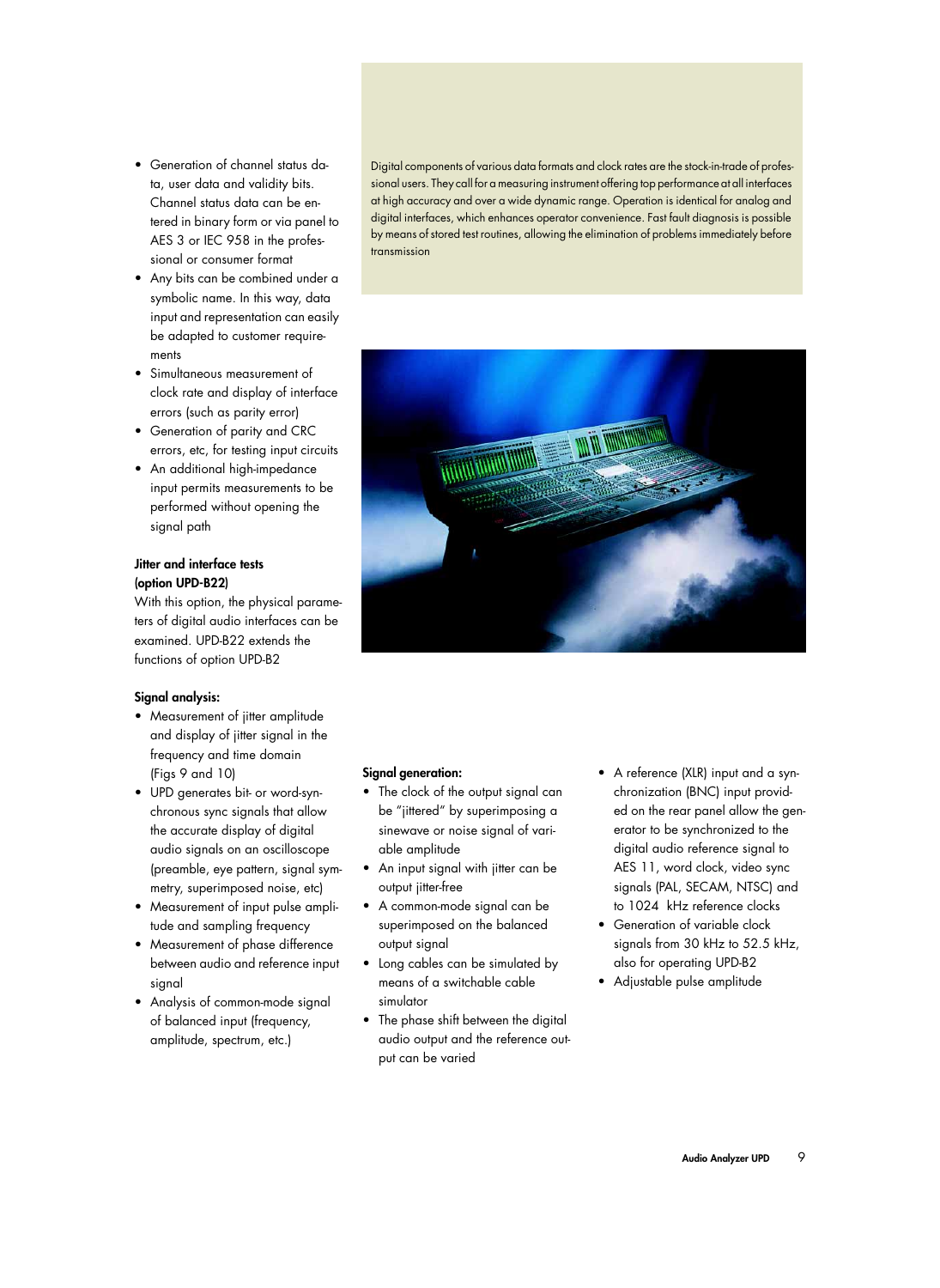- Generation of channel status data, user data and validity bits. Channel status data can be entered in binary form or via panel to AES 3 or IEC 958 in the professional or consumer format
- Any bits can be combined under a symbolic name. In this way, data input and representation can easily be adapted to customer requirements
- Simultaneous measurement of clock rate and display of interface errors (such as parity error)
- Generation of parity and CRC errors, etc, for testing input circuits
- An additional high-impedance input permits measurements to be performed without opening the signal path

# **Jitter and interface tests (option UPD-B22)**

With this option, the physical parameters of digital audio interfaces can be examined. UPD-B22 extends the functions of option UPD-B2

# **Signal analysis:**

- Measurement of jitter amplitude and display of jitter signal in the frequency and time domain (Figs 9 and 10)
- UPD generates bit- or word-synchronous sync signals that allow the accurate display of digital audio signals on an oscilloscope (preamble, eye pattern, signal symmetry, superimposed noise, etc)
- Measurement of input pulse amplitude and sampling frequency
- Measurement of phase difference between audio and reference input signal
- Analysis of common-mode signal of balanced input (frequency, amplitude, spectrum, etc.)

Digital components of various data formats and clock rates are the stock-in-trade of professional users. They call for a measuring instrument offering top performance at all interfaces at high accuracy and over a wide dynamic range. Operation is identical for analog and digital interfaces, which enhances operator convenience. Fast fault diagnosis is possible by means of stored test routines, allowing the elimination of problems immediately before transmission



# **Signal generation:**

- The clock of the output signal can be "jittered" by superimposing a sinewave or noise signal of variable amplitude
- An input signal with jitter can be output jitter-free
- A common-mode signal can be superimposed on the balanced output signal
- Long cables can be simulated by means of a switchable cable simulator
- The phase shift between the digital audio output and the reference output can be varied
- A reference (XLR) input and a synchronization (BNC) input provided on the rear panel allow the generator to be synchronized to the digital audio reference signal to AES 11, word clock, video sync signals (PAL, SECAM, NTSC) and to 1024 kHz reference clocks
- Generation of variable clock signals from 30 kHz to 52.5 kHz, also for operating UPD-B2
- Adjustable pulse amplitude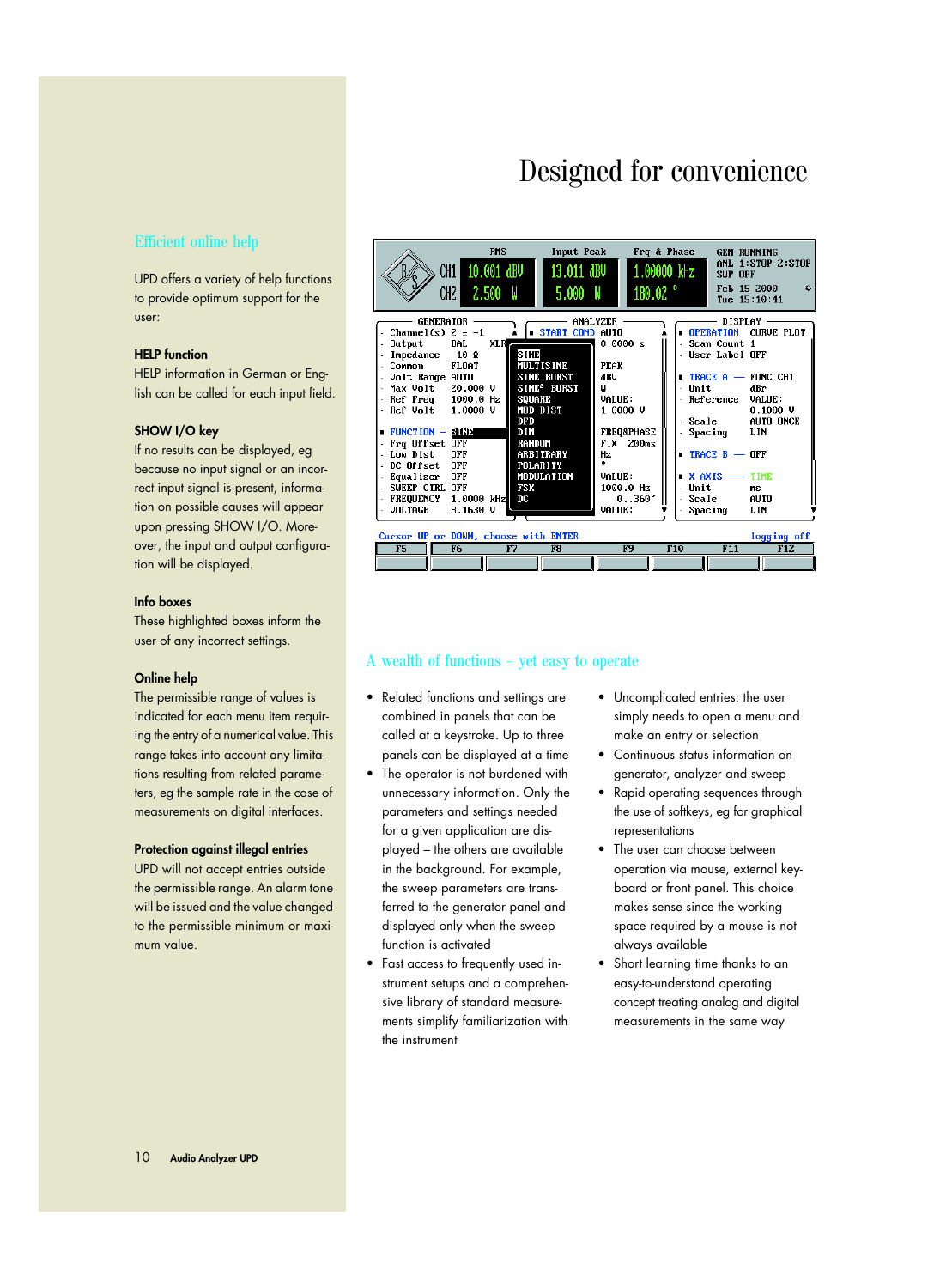# Designed for convenience

# Efficient online help

UPD offers a variety of help functions to provide optimum support for the user:

### **HELP function**

HELP information in German or English can be called for each input field.

### **SHOW I/O key**

If no results can be displayed, eg because no input signal or an incorrect input signal is present, information on possible causes will appear upon pressing SHOW I/O. Moreover, the input and output configuration will be displayed.

## **Info boxes**

These highlighted boxes inform the user of any incorrect settings.

### **Online help**

The permissible range of values is indicated for each menu item requiring the entry of a numerical value. This range takes into account any limitations resulting from related parameters, eg the sample rate in the case of measurements on digital interfaces.

### **Protection against illegal entries**

UPD will not accept entries outside the permissible range. An alarm tone will be issued and the value changed to the permissible minimum or maximum value.



## A wealth of functions – yet easy to operate

- Related functions and settings are combined in panels that can be called at a keystroke. Up to three panels can be displayed at a time
- The operator is not burdened with unnecessary information. Only the parameters and settings needed for a given application are displayed – the others are available in the background. For example, the sweep parameters are transferred to the generator panel and displayed only when the sweep function is activated
- Fast access to frequently used instrument setups and a comprehensive library of standard measurements simplify familiarization with the instrument
- Uncomplicated entries: the user simply needs to open a menu and make an entry or selection
- Continuous status information on generator, analyzer and sweep
- Rapid operating sequences through the use of softkeys, eg for graphical representations
- The user can choose between operation via mouse, external keyboard or front panel. This choice makes sense since the working space required by a mouse is not always available
- Short learning time thanks to an easy-to-understand operating concept treating analog and digital measurements in the same way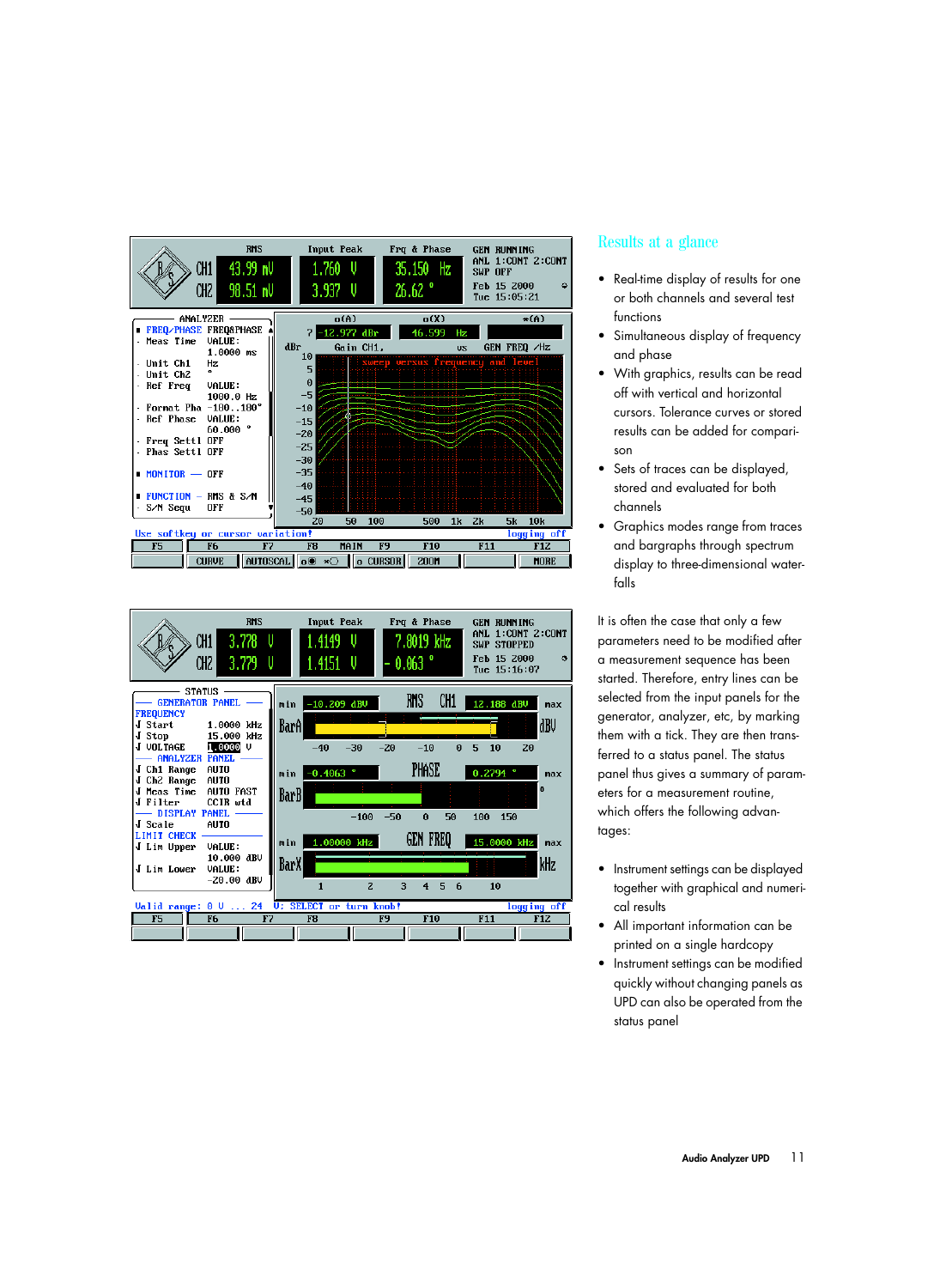



# Results at a glance

- Real-time display of results for one or both channels and several test functions
- Simultaneous display of frequency and phase
- With graphics, results can be read off with vertical and horizontal cursors. Tolerance curves or stored results can be added for comparison
- Sets of traces can be displayed, stored and evaluated for both channels
- Graphics modes range from traces and bargraphs through spectrum display to three-dimensional waterfalls

It is often the case that only a few parameters need to be modified after a measurement sequence has been started. Therefore, entry lines can be selected from the input panels for the generator, analyzer, etc, by marking them with a tick. They are then transferred to a status panel. The status panel thus gives a summary of parameters for a measurement routine, which offers the following advantages:

- Instrument settings can be displayed together with graphical and numerical results
- All important information can be printed on a single hardcopy
- Instrument settings can be modified quickly without changing panels as UPD can also be operated from the status panel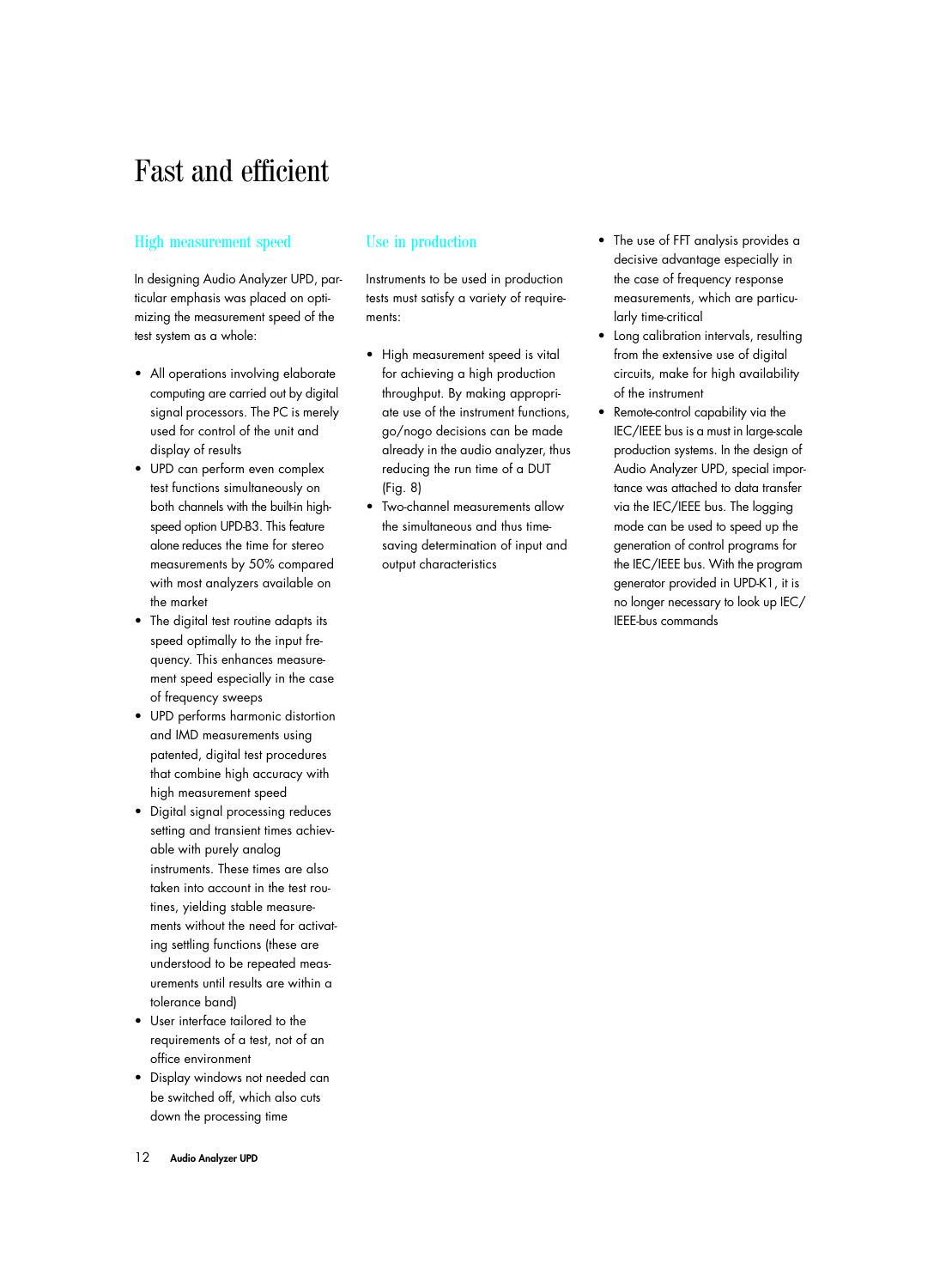# Fast and efficient

# High measurement speed

In designing Audio Analyzer UPD, particular emphasis was placed on optimizing the measurement speed of the test system as a whole:

- All operations involving elaborate computing are carried out by digital signal processors. The PC is merely used for control of the unit and display of results
- UPD can perform even complex test functions simultaneously on both channels with the built-in highspeed option UPD-B3. This feature alone reduces the time for stereo measurements by 50% compared with most analyzers available on the market
- The digital test routine adapts its speed optimally to the input frequency. This enhances measurement speed especially in the case of frequency sweeps
- UPD performs harmonic distortion and IMD measurements using patented, digital test procedures that combine high accuracy with high measurement speed
- Digital signal processing reduces setting and transient times achievable with purely analog instruments. These times are also taken into account in the test routines, yielding stable measurements without the need for activating settling functions (these are understood to be repeated measurements until results are within a tolerance band)
- User interface tailored to the requirements of a test, not of an office environment
- Display windows not needed can be switched off, which also cuts down the processing time

# Use in production

Instruments to be used in production tests must satisfy a variety of requirements:

- High measurement speed is vital for achieving a high production throughput. By making appropriate use of the instrument functions, go/nogo decisions can be made already in the audio analyzer, thus reducing the run time of a DUT (Fig. 8)
- Two-channel measurements allow the simultaneous and thus timesaving determination of input and output characteristics
- The use of FFT analysis provides a decisive advantage especially in the case of frequency response measurements, which are particularly time-critical
- Long calibration intervals, resulting from the extensive use of digital circuits, make for high availability of the instrument
- Remote-control capability via the IEC/IEEE bus is a must in large-scale production systems. In the design of Audio Analyzer UPD, special importance was attached to data transfer via the IEC/IEEE bus. The logging mode can be used to speed up the generation of control programs for the IEC/IEEE bus. With the program generator provided in UPD-K1, it is no longer necessary to look up IEC/ IEEE-bus commands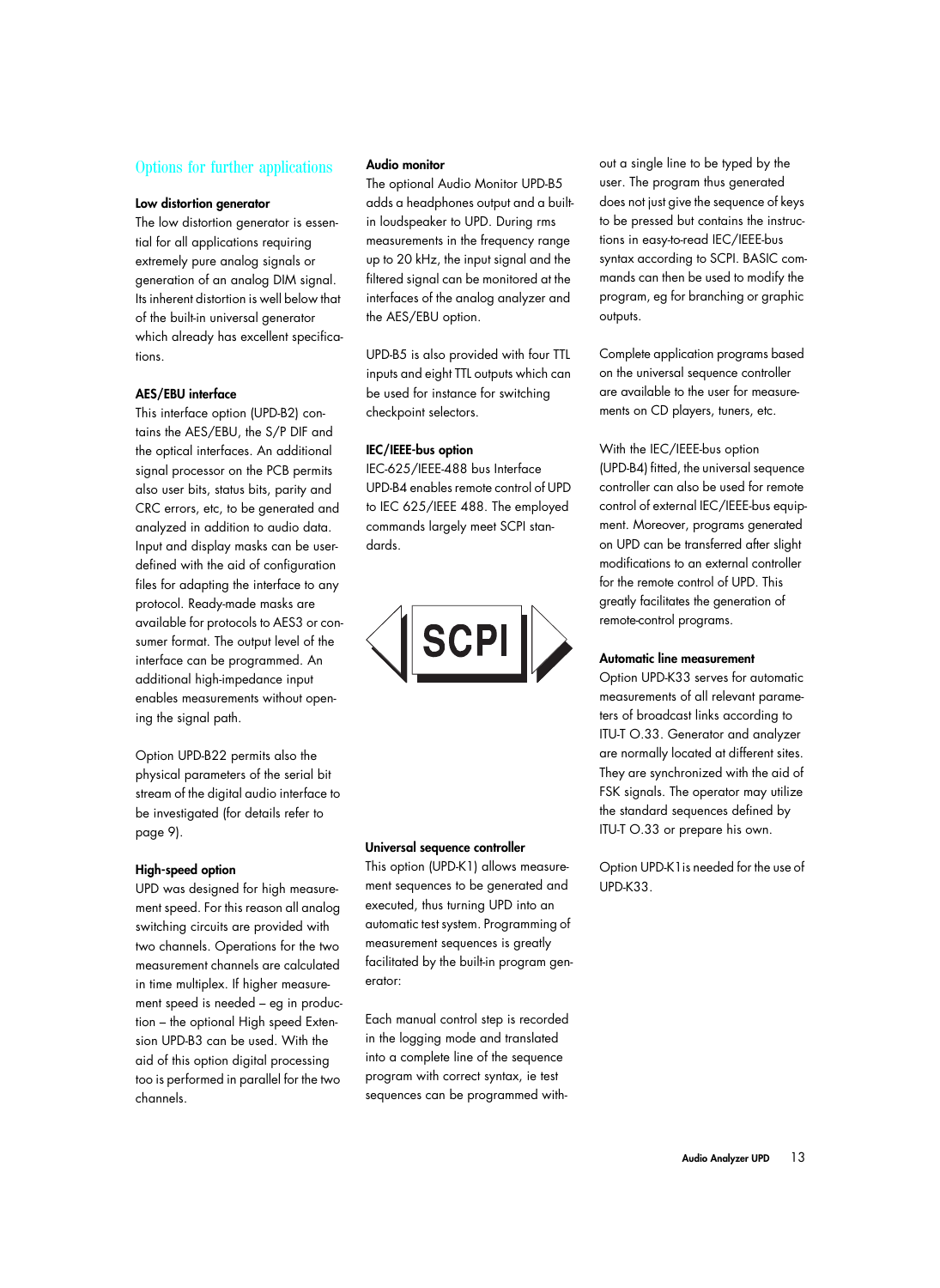# Options for further applications

### **Low distortion generator**

The low distortion generator is essential for all applications requiring extremely pure analog signals or generation of an analog DIM signal. Its inherent distortion is well below that of the built-in universal generator which already has excellent specifications.

## **AES/EBU interface**

This interface option (UPD-B2) contains the AES/EBU, the S/P DIF and the optical interfaces. An additional signal processor on the PCB permits also user bits, status bits, parity and CRC errors, etc, to be generated and analyzed in addition to audio data. Input and display masks can be userdefined with the aid of configuration files for adapting the interface to any protocol. Ready-made masks are available for protocols to AES3 or consumer format. The output level of the interface can be programmed. An additional high-impedance input enables measurements without opening the signal path.

Option UPD-B22 permits also the physical parameters of the serial bit stream of the digital audio interface to be investigated (for details refer to page 9).

# **High-speed option**

UPD was designed for high measurement speed. For this reason all analog switching circuits are provided with two channels. Operations for the two measurement channels are calculated in time multiplex. If higher measurement speed is needed – eg in production – the optional High speed Extension UPD-B3 can be used. With the aid of this option digital processing too is performed in parallel for the two channels.

# **Audio monitor**

The optional Audio Monitor UPD-B5 adds a headphones output and a builtin loudspeaker to UPD. During rms measurements in the frequency range up to 20 kHz, the input signal and the filtered signal can be monitored at the interfaces of the analog analyzer and the AES/EBU option.

UPD-B5 is also provided with four TTL inputs and eight TTL outputs which can be used for instance for switching checkpoint selectors.

### **IEC/IEEE-bus option**

IEC-625/IEEE-488 bus Interface UPD-B4 enables remote control of UPD to IEC 625/IEEE 488. The employed commands largely meet SCPI standards.



### **Universal sequence controller**

This option (UPD-K1) allows measurement sequences to be generated and executed, thus turning UPD into an automatic test system. Programming of measurement sequences is greatly facilitated by the built-in program generator:

Each manual control step is recorded in the logging mode and translated into a complete line of the sequence program with correct syntax, ie test sequences can be programmed with-

out a single line to be typed by the user. The program thus generated does not just give the sequence of keys to be pressed but contains the instructions in easy-to-read IEC/IEEE-bus syntax according to SCPI. BASIC commands can then be used to modify the program, eg for branching or graphic outputs.

Complete application programs based on the universal sequence controller are available to the user for measurements on CD players, tuners, etc.

With the IEC/IEEE-bus option

(UPD-B4) fitted, the universal sequence controller can also be used for remote control of external IEC/IEEE-bus equipment. Moreover, programs generated on UPD can be transferred after slight modifications to an external controller for the remote control of UPD. This greatly facilitates the generation of remote-control programs.

## **Automatic line measurement**

Option UPD-K33 serves for automatic measurements of all relevant parameters of broadcast links according to ITU-T O.33. Generator and analyzer are normally located at different sites. They are synchronized with the aid of FSK signals. The operator may utilize the standard sequences defined by ITU-T O.33 or prepare his own.

Option UPD-K1is needed for the use of UPD-K33.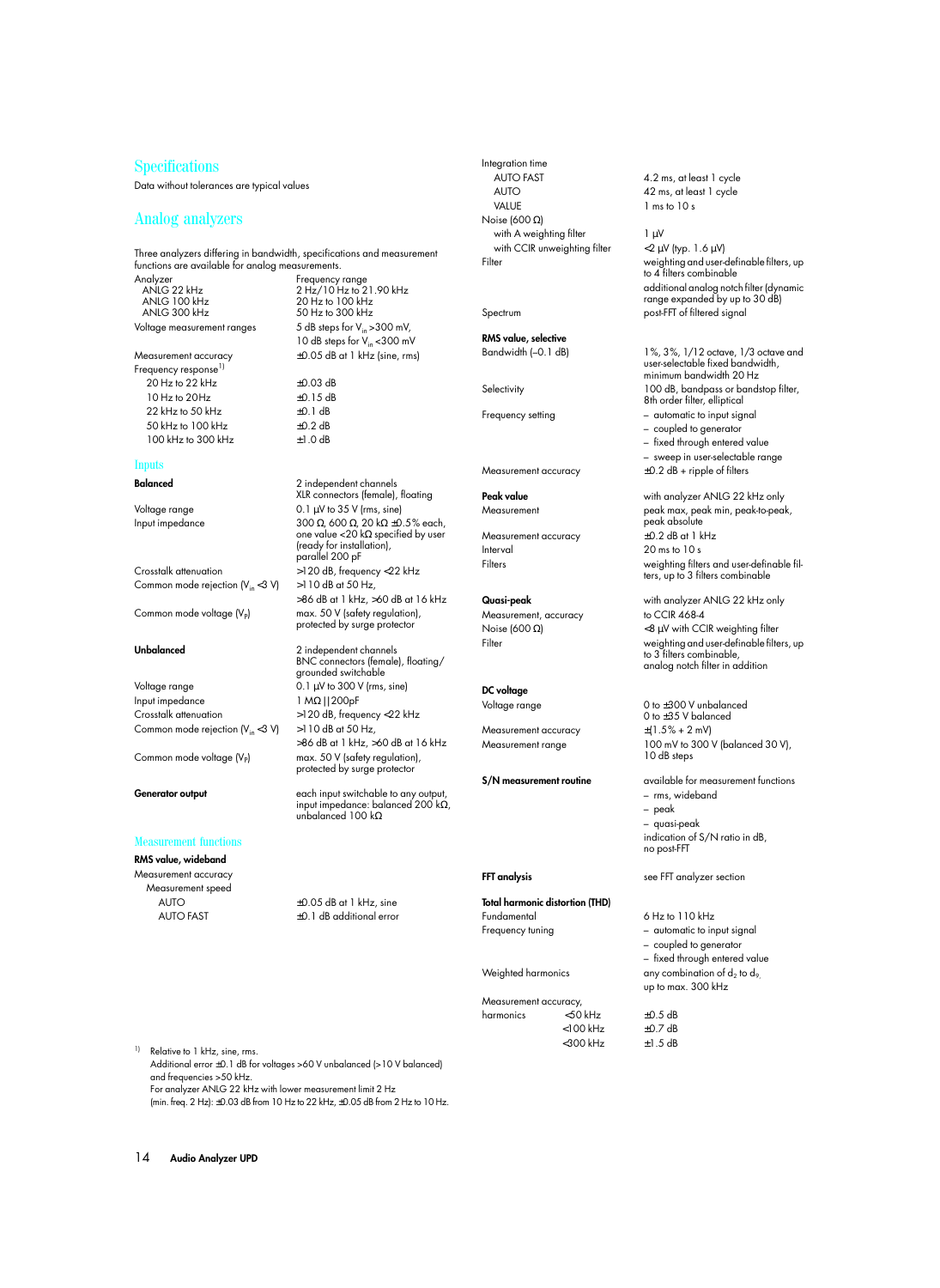# **Specifications**

Data without tolerances are typical values

### Analog analyzers

Three analyzers differing in bandwidth, specifications and measurement functions are available for analog measurements.

Analyzer Frequency range ANLG 22 kHz 2 Hz/10 Hz to 21.90 kHz ANLG 100 kHz 20 Hz to 100 kHz ANLG 300 kHz 50 Hz to 300 kHz

Measurement accuracy ±0.05 dB at 1 kHz (sine, rms) Frequency response<sup>1)</sup> 20 Hz to 22 kHz  $\pm 0.03$  dB  $10$  Hz to  $20$  Hz  $\pm 0.15$  dB 22 kHz to 50 kHz  $\pm$ 0.1 dB 50 kHz to 100 kHz ±0.2 dB  $100 \text{ kHz}$  to  $300 \text{ kHz}$   $+1.0 \text{ dB}$ 

### Inputs

Common mode rejection  $(V_{in} < 3 V)$   $> 110$  dB at 50 Hz,

Voltage range 0.1 µV to 300 V (rms, sine) Input impedance 1 MΩ | | 200pF Crosstalk attenuation >120 dB, frequency <22 kHz Common mode rejection  $(V_{in} < 3 V)$  >110 dB at 50 Hz,

### Measurement functions

**RMS value, wideband** Measurement accuracy Measurement speed

Voltage measurement ranges  $5$  dB steps for  $V_{in} > 300$  mV, 10 dB steps for V<sub>in</sub> <300 mV

**Balanced** 2 independent channels XLR connectors (female), floating Voltage range 0.1 µV to 35 V (rms, sine) Input impedance 300 Ω, 600 Ω, 20 kΩ ±0.5% each, one value <20 kΩ specified by user (ready for installation), parallel 200 pF Crosstalk attenuation >120 dB, frequency <22 kHz >86 dB at 1 kHz, >60 dB at 16 kHz Common mode voltage  $(V_P)$  max. 50 V (safety regulation), protected by surge protector

**Unbalanced** 2 independent channels BNC connectors (female), floating/ grounded switchable >86 dB at 1 kHz, >60 dB at 16 kHz Common mode voltage  $(V_P)$  max. 50 V (safety regulation), protected by surge protector

**Generator output** each input switchable to any output, input impedance: balanced 200 kΩ, unbalanced 100 kΩ

AUTO  $\pm 0.05$  dB at 1 kHz, sine AUTO FAST  $\pm 0.1$  dB additional error Integration time AUTO FAST 4.2 ms, at least 1 cycle AUTO 42 ms, at least 1 cycle VALUE 1 ms to 10 s Noise (600 Ω) with A weighting filter  $1 \mu V$ with CCIR unweighting filter  $\langle 2 \mu V |$  (typ. 1.6  $\mu$ V)

**RMS value, selective**

Frequency setting  $-$  automatic to input signal

Interval 20 ms to 10 s

Measurement, accuracy to CCIR 468-4

### **DC voltage**

Measurement accuracy

**Total harmonic distortion (THD)**  Fundamental 6 Hz to 110 kHz Frequency tuning  $-$  automatic to input signal

| Measurement accuracy, |             |  |
|-----------------------|-------------|--|
| harmonics             | $<$ 50 kHz  |  |
|                       | $<$ 100 kHz |  |
|                       | $<$ 300 kHz |  |

Filter weighting and user-definable filters, up to 4 filters combinable additional analog notch filter (dynamic range expanded by up to 30 dB) Spectrum post-FFT of filtered signal

Bandwidth (–0.1 dB) 1%, 3%, 1/12 octave, 1/3 octave and user-selectable fixed bandwidth, minimum bandwidth 20 Hz Selectivity 100 dB, bandpass or bandstop filter, 8th order filter, elliptical

- coupled to generator
- fixed through entered value

– sweep in user-selectable range

Measurement accuracy  $\pm 0.2$  dB + ripple of filters

**Peak value** with analyzer ANLG 22 kHz only Measurement peak max, peak min, peak-to-peak, peak absolute Measurement accuracy  $\pm$ 0.2 dB at 1 kHz Filters weighting filters and user-definable filters, up to 3 filters combinable

**Quasi-peak** with analyzer ANLG 22 kHz only Noise (600 Ω)  $<$ 8 μV with CCIR weighting filter Filter weighting and user-definable filters, up to 3 filters combinable, analog notch filter in addition

Voltage range 0 to  $\pm 300$  V unbalanced 0 to  $\pm 35$  V balanced<br> $\pm (1.5\% + 2 \text{ mV})$ Measurement range 100 mV to 300 V (balanced 30 V), 10 dB steps

**S/N measurement routine** available for measurement functions – rms, wideband – peak – quasi-peak

indication of S/N ratio in dB, no post-FFT

**FFT analysis** see FFT analyzer section

 $\pm$ 0.5 dB  $±0.7$  dB  $±1.5$  dB

– coupled to generator – fixed through entered value Weighted harmonics any combination of  $d_2$  to  $d_9$ up to max. 300 kHz

<sup>1)</sup> Relative to 1 kHz, sine, rms. Additional error ±0.1 dB for voltages >60 V unbalanced (>10 V balanced) and frequencies >50 kHz. For analyzer ANLG 22 kHz with lower measurement limit 2 Hz (min. freq. 2 Hz): ±0.03 dB from 10 Hz to 22 kHz, ±0.05 dB from 2 Hz to 10 Hz.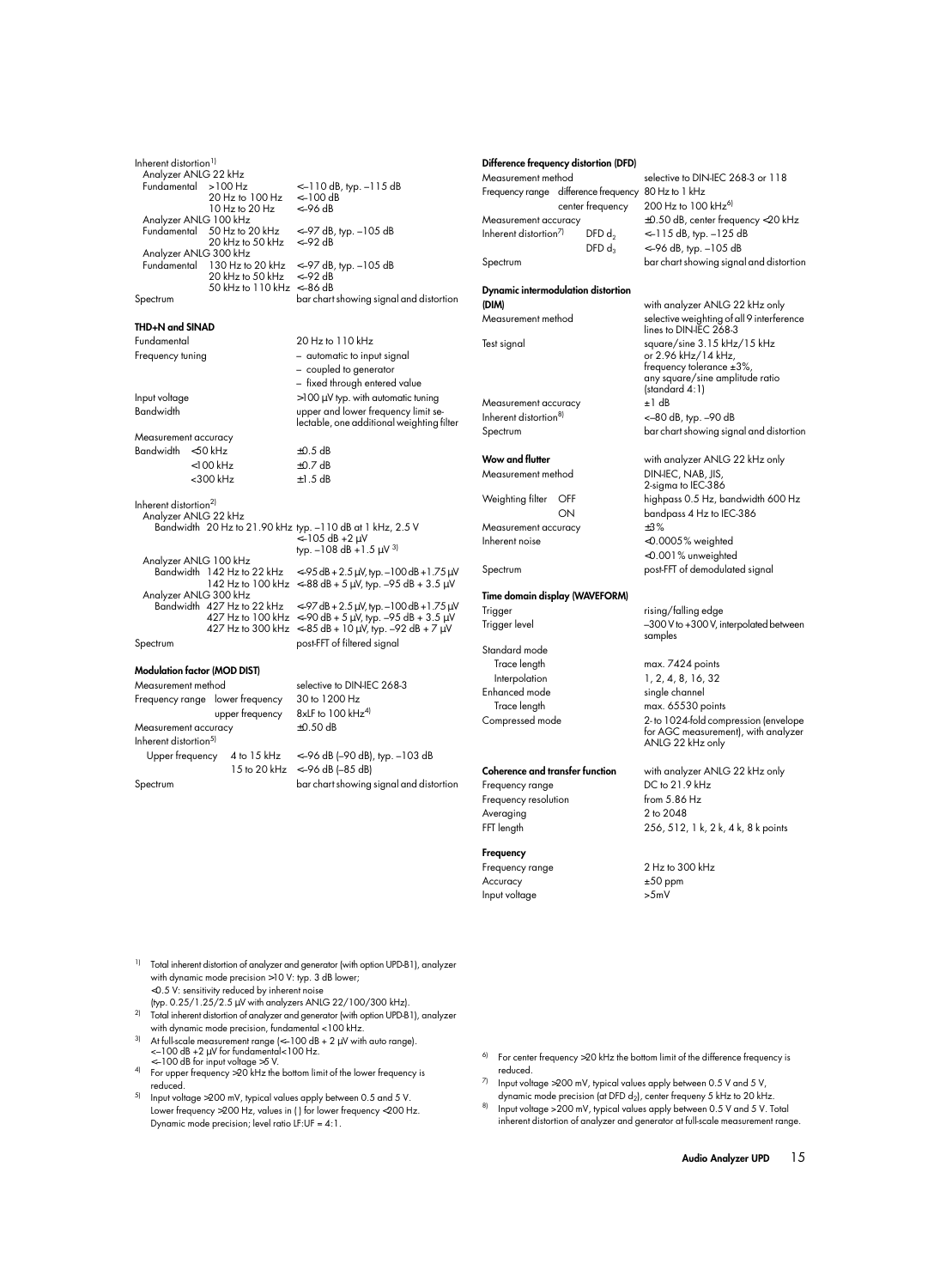### **THD+N and SINAD**

Measurement accuracy Bandwidth  $<$  50 kHz  $\pm$ 0.5 dB  $100 \text{ kHz}$   $+0.7 \text{ dB}$ 

Inherent distortion<sup>2)</sup> Analyzer ANLG 22 kHz Bandwidth 20 Hz to 21.90 kHz typ. –110 dB at 1 kHz, 2.5 V Analyzer ANLG 100 kHz Analyzer ANLG 300 kHz Bandwidth  $427$  Hz to 22 kHz  $\leftarrow$  97 dB + 2.5 µV, typ. –100 dB + 1.75 µV

### **Modulation factor (MOD DIST)**

Measurement method selective to DIN-IEC 268-3 Frequency range lower frequency 30 to 1200 Hz upper frequency 8xLF to 100 kHz<sup>4)</sup> Measurement accuracy  $\pm 0.50$  dB Inherent distortion<sup>5)</sup><br>Upper frequency 4 to 15 kHz <–96 dB (–90 dB), typ. –103 dB 15 to 20 kHz <–96 dB (–85 dB) Spectrum bar chart showing signal and distortion

Fundamental 20 Hz to 110 kHz Frequency tuning  $-$  automatic to input signal – coupled to generator – fixed through entered value  $Input$  voltage  $\frac{100}{\mu V}$  typ. with automatic tuning Bandwidth upper and lower frequency limit selectable, one additional weighting filter

<300 kHz ±1.5 dB

<–105 dB +2 µV typ.  $-108$  dB  $+1.5$   $\mu$ V<sup>3)</sup>

 $< -95$  dB + 2.5  $\mu$ V, typ. –100 dB + 1.75  $\mu$ V 142 Hz to 100 kHz <-88 dB + 5  $\mu$ V, typ. -95 dB + 3.5  $\mu$ V 427 Hz to 100 kHz <–90 dB + 5  $\mu$ V, typ. –95 dB + 3.5  $\mu$ V 427 Hz to 300 kHz <-85 dB + 10  $\mu$ V, typ. -92 dB + 7  $\mu$ V Spectrum post-FFT of filtered signal

### **Difference frequency distortion (DFD)**

Frequency range difference frequency 80 Hz to 1 kHz Inherent distortion<sup>7)</sup> DFD  $d_2$  <–115 dB, typ. –125 dB

### **Dynamic intermodulation distortion (DIM)** with analyzer ANLG 22 kHz only

Measurement accuracy  $\pm 1$  dB Inherent distortion<sup>8)</sup>  $<-80$  dB, typ.  $-90$  dB

Measurement accuracy ±3% Inherent noise <0.0005% weighted

### **Time domain display (WAVEFORM)**

Standard mode Trace length max. 7424 points Interpolation 1, 2, 4, 8, 16, 32

Enhanced mode single channel

### **Coherence and transfer function** with analyzer ANLG 22 kHz only

Frequency resolution from 5.86 Hz Averaging 2 to 2048

# **Frequency**

Accuracy  $\pm 50$  ppm Input voltage >5mV

Measurement method selective to DIN-IEC 268-3 or 118 center frequency 200 Hz to 100 kHz<sup>6)</sup> Measurement accuracy ±0.50 dB, center frequency <20 kHz  $DFD d_3$  <–96 dB, typ. –105 dB Spectrum bar chart showing signal and distortion

Measurement method selective weighting of all 9 interference lines to DIN-IEC 268-3 Test signal square/sine 3.15 kHz/15 kHz or 2.96 kHz/14 kHz, frequency tolerance ±3%, any square/sine amplitude ratio (standard 4:1) Spectrum bar chart showing signal and distortion

**Wow and flutter** with analyzer ANLG 22 kHz only Measurement method DIN-IEC, NAB, IIS, 2-sigma to IEC-386 Weighting filter OFF highpass 0.5 Hz, bandwidth 600 Hz ON bandpass 4 Hz to IEC-386 <0.001% unweighted Spectrum post-FFT of demodulated signal

Trigger rising/falling edge Trigger level **Figure 1** -300 V to +300 V, interpolated between samples

Trace length max. 65530 points Compressed mode 2- to 1024-fold compression (envelope for AGC measurement), with analyzer ANLG 22 kHz only

Frequency range DC to 21.9 kHz FFT length 256, 512, 1 k, 2 k, 4 k, 8 k points

Frequency range 2 Hz to 300 kHz

- <sup>1)</sup> Total inherent distortion of analyzer and generator (with option UPD-B1), analyzer with dynamic mode precision >10 V: typ. 3 dB lower; <0.5 V: sensitivity reduced by inherent noise
- (typ. 0.25/1.25/2.5 µV with analyzers ANLG 22/100/300 kHz). <sup>2)</sup> Total inherent distortion of analyzer and generator (with option UPD-B1), analyzer with dynamic mode precision, fundamental <100 kHz.
- At full-scale measurement range  $\ll$  -100 dB + 2  $\mu$ V with auto range). <–100 dB +2 µV for fundamental<100 Hz.
- <–100 dB for input voltage >5 V. 4) For upper frequency >20 kHz the bottom limit of the lower frequency is reduced.
- $5$  Input voltage >200 mV, typical values apply between 0.5 and 5 V. Lower frequency >200 Hz, values in ( ) for lower frequency <200 Hz. Dynamic mode precision; level ratio LF:UF = 4:1.
- $6$  For center frequency >20 kHz the bottom limit of the difference frequency is reduced.
- $7$  Input voltage >200 mV, typical values apply between 0.5 V and 5 V, dynamic mode precision (at DFD  $d_2$ ), center frequeny 5 kHz to 20 kHz.
- Input voltage >200 mV, typical values apply between 0.5 V and 5 V. Total inherent distortion of analyzer and generator at full-scale measurement range.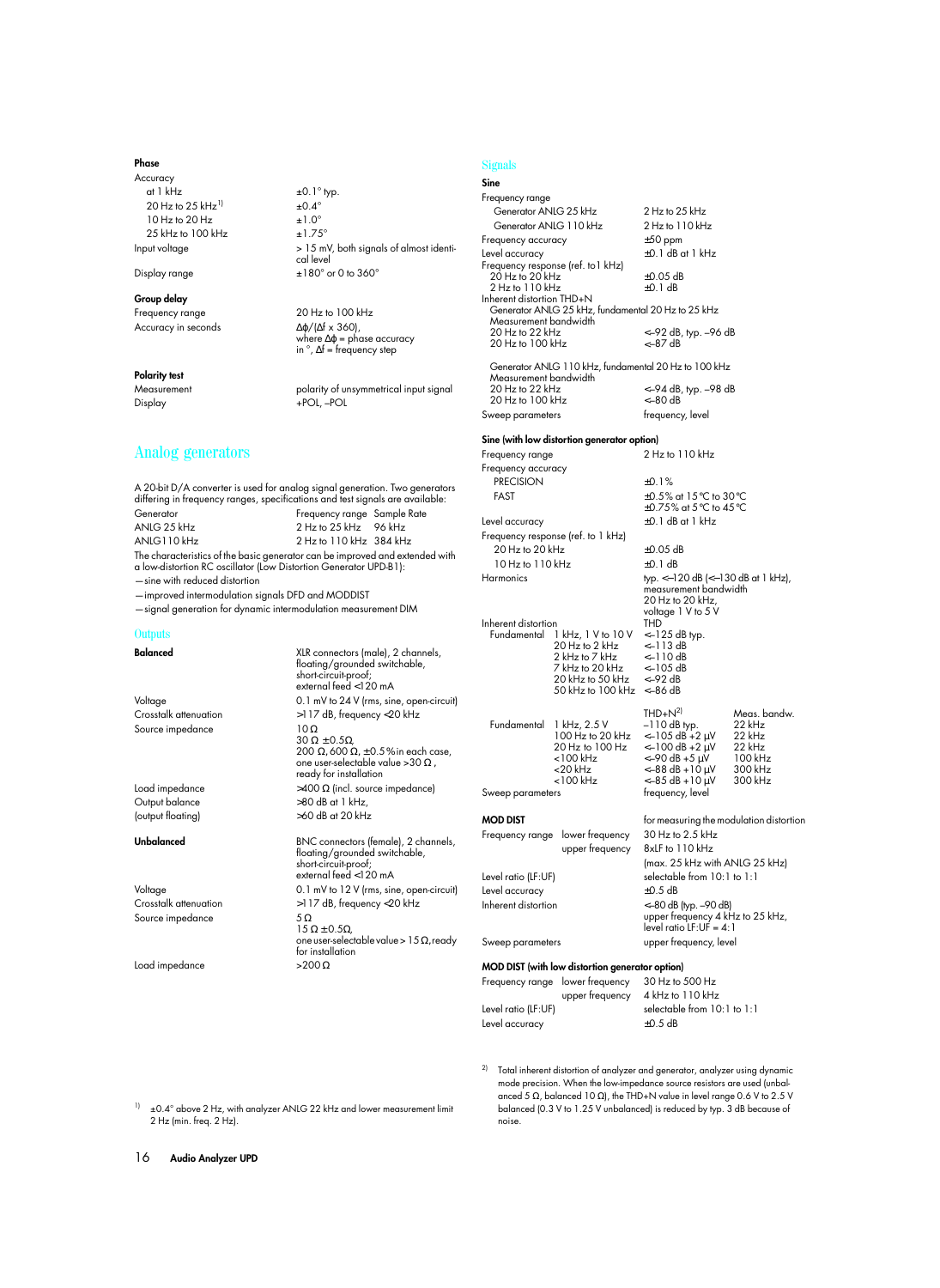### **Phase**

Accuracy at 1 kHz  $\pm 0.1^\circ$  typ. 20 Hz to 25 kHz<sup>11</sup>  $\pm$ 0.4°<br>10 Hz to 20 Hz  $\pm$ 1.0°  $10$  Hz to  $20$  Hz 25 kHz to 100 kHz  $\pm 1.75^\circ$ Input voltage > 15 mV, both signals of almost identi-

Display range  $\pm 180^\circ$  or 0 to 360°

### **Group delay**

Frequency range 20 Hz to 100 kHz Accuracy in seconds ∆ϕ/(∆f x 360),

### **Polarity test**

Measurement **Measurement** polarity of unsymmetrical input signal Display +POL, –POL

# Analog generators

A 20-bit D/A converter is used for analog signal generation. Two generators differing in frequency ranges, specifications and test signals are available: Generator Frequency range Sample Rate ANLG 25 kHz<br>2 Hz to 25 kHz 96 kHz<br>2 Hz to 110 kHz 384 kH 2 Hz to 110 kHz 384 kHz

cal level

where ∆ϕ = phase accuracy in °, ∆f = frequency step

The characteristics of the basic generator can be improved and extended with a low-distortion RC oscillator (Low Distortion Generator UPD-B1):

—sine with reduced distortion

—improved intermodulation signals DFD and MODDIST —signal generation for dynamic intermodulation measurement DIM

**Outputs** 

| <b>Balanced</b>       | XLR connectors (male), 2 channels,<br>floating/grounded switchable,<br>short-circuit-proof;<br>external feed <120 mA |                     | 20 Hz to 2 kHz<br>2 kHz to 7 kHz<br>7 kHz to 20 kHz<br>20 kHz to 50 kHz<br>50 kHz to 100 kHz <-86 dl | $<-113$<br>$<-110$<br>$<-105$<br><-92 dl |
|-----------------------|----------------------------------------------------------------------------------------------------------------------|---------------------|------------------------------------------------------------------------------------------------------|------------------------------------------|
| Voltage               | 0.1 mV to 24 V (rms, sine, open-circuit)                                                                             |                     |                                                                                                      | THD+N                                    |
| Crosstalk attenuation | >117 dB, frequency <20 kHz<br>$10\Omega$                                                                             | Fundamental         | 1 kHz, 2.5 V                                                                                         | $-110d$                                  |
| Source impedance      | $30 \Omega \pm 0.5 \Omega$<br>200 Ω, 600 Ω, $\pm$ 0.5% in each case,                                                 |                     | 100 Hz to 20 kHz<br>20 Hz to 100 Hz                                                                  | $<-105$<br>$<-100$                       |
|                       | one user-selectable value > 30 $\Omega$ ,<br>ready for installation                                                  |                     | $<$ 100 kHz<br>$<$ 20 kHz<br>$<$ 100 kHz                                                             | <-90 dl<br><-88 dl<br><-85 dl            |
| Load impedance        | >400 Ω (incl. source impedance)                                                                                      | Sweep parameters    |                                                                                                      | frequen                                  |
| Output balance        | $>80$ dB at 1 kHz.                                                                                                   |                     |                                                                                                      |                                          |
| (output floating)     | >60 dB at 20 kHz                                                                                                     | <b>MOD DIST</b>     |                                                                                                      | for meas                                 |
| Unbalanced            | BNC connectors (female), 2 channels,<br>floating/grounded switchable,<br>short-circuit-proof;                        | Frequency range     | lower frequency<br>upper frequency                                                                   | 30 Hz to<br>8xLF to<br>(max. 2.          |
|                       | external feed <120 mA                                                                                                | Level ratio (LF:UF) |                                                                                                      | selectab                                 |
| Voltage               | 0.1 mV to 12 V (rms, sine, open-circuit)                                                                             | Level accuracy      |                                                                                                      | $\pm 0.5$ dB                             |
| Crosstalk attenuation | >117 dB, frequency <20 kHz                                                                                           | Inherent distortion |                                                                                                      | $<-80$ dB                                |
| Source impedance      | $5\Omega$<br>$15 \Omega \pm 0.5 \Omega$                                                                              |                     |                                                                                                      | upper fr<br>level rat                    |
|                       | one user-selectable value > $15 \Omega$ , ready<br>for installation                                                  | Sweep parameters    |                                                                                                      | upper fr                                 |
| Load impedance        | $>200 \Omega$                                                                                                        |                     | MOD DIST (with low distortion generator option                                                       |                                          |
|                       |                                                                                                                      |                     | Frequency range lower frequency                                                                      | 30 Hz to                                 |
|                       |                                                                                                                      |                     | upper frequency                                                                                      | 4 kHz to                                 |
|                       |                                                                                                                      | Level ratio (LF:UF) |                                                                                                      | selectab                                 |
|                       |                                                                                                                      | Level accuracy      |                                                                                                      | $\pm 0.5$ dB                             |
|                       |                                                                                                                      |                     |                                                                                                      |                                          |

### Signals

| Sine                                     |                                                        |                                                                 |                        |
|------------------------------------------|--------------------------------------------------------|-----------------------------------------------------------------|------------------------|
| Frequency range                          |                                                        |                                                                 |                        |
| Generator ANLG 25 kHz                    |                                                        | 2 Hz to 25 kHz                                                  |                        |
| Generator ANLG 110 kHz                   |                                                        | 2 Hz to 110 kHz                                                 |                        |
| Frequency accuracy                       |                                                        | $\pm 50$ ppm                                                    |                        |
| Level accuracy                           |                                                        | $+0.1$ dB at 1 kHz                                              |                        |
| 20 Hz to 20 kHz                          | Frequency response (ref. to 1 kHz)                     | $\pm$ 0.05 dB                                                   |                        |
| 2 Hz to 110 kHz                          |                                                        | ±0.1 dB                                                         |                        |
| Inherent distortion THD+N                |                                                        |                                                                 |                        |
|                                          | Generator ANLG 25 kHz, fundamental 20 Hz to 25 kHz     |                                                                 |                        |
| Measurement bandwidth<br>20 Hz to 22 kHz |                                                        | <–92 dB, typ. –96 dB                                            |                        |
| 20 Hz to 100 kHz                         |                                                        | <-87 dB                                                         |                        |
|                                          |                                                        |                                                                 |                        |
| Measurement bandwidth                    |                                                        | Generator ANLG 110 kHz, fundamental 20 Hz to 100 kHz            |                        |
| 20 Hz to 22 kHz                          |                                                        | <-94 dB, typ. -98 dB                                            |                        |
| 20 Hz to 100 kHz                         |                                                        | <–80 dB                                                         |                        |
| Sweep parameters                         |                                                        | frequency, level                                                |                        |
|                                          |                                                        |                                                                 |                        |
|                                          | Sine (with low distortion generator option)            |                                                                 |                        |
| Frequency range                          |                                                        | 2 Hz to 110 kHz                                                 |                        |
| Frequency accuracy                       |                                                        |                                                                 |                        |
| <b>PRECISION</b>                         |                                                        | $+0.1%$                                                         |                        |
| FAST                                     |                                                        | ±0.5% at 15°C to 30°C<br>±0.75% at 5°C to 45°C                  |                        |
| Level accuracy                           |                                                        | $\pm 0.1$ dB at 1 kHz                                           |                        |
|                                          | Frequency response (ref. to 1 kHz)                     |                                                                 |                        |
| 20 Hz to 20 kHz                          |                                                        | $\pm 0.05$ dB                                                   |                        |
| 10 Hz to 110 kHz                         |                                                        | $\pm$ 0.1 dB                                                    |                        |
| Harmonics                                |                                                        | typ. <-120 dB (<-130 dB at 1 kHz),                              |                        |
|                                          |                                                        | measurement bandwidth                                           |                        |
|                                          |                                                        | 20 Hz to 20 kHz,                                                |                        |
| Inherent distortion                      |                                                        | voltage 1 V to 5 V<br>THD                                       |                        |
|                                          | Fundamental 1 kHz, 1 V to 10 V                         | <–125 dB typ.                                                   |                        |
|                                          | 20 Hz to 2 kHz                                         | <–113 dB                                                        |                        |
|                                          | 2 kHz to 7 kHz                                         | <-110 dB                                                        |                        |
|                                          | 7 kHz to 20 kHz<br>20 kHz to 50 kHz                    | <-105 dB<br><-92 dB                                             |                        |
|                                          | 50 kHz to 100 kHz                                      | <-86 dB                                                         |                        |
|                                          |                                                        |                                                                 |                        |
| Fundamental 1 kHz, 2.5 V                 |                                                        | $THD+N2$<br>–110 dB typ.                                        | Meas. bandw.<br>22 kHz |
|                                          | 100 Hz to 20 kHz                                       | <-105 dB +2 μV                                                  | 22 kHz                 |
|                                          | 20 Hz to 100 Hz                                        | <–100 dB +2 μV                                                  | 22 kHz                 |
|                                          | <100 kHz                                               | <–90 dB +5 μV                                                   | 100 kHz                |
|                                          | <20 kHz<br><100 kHz                                    | $<-88$ dB + 10 $\mu$ V<br>$<-85$ dB +10 $\mu$ V                 | 300 kHz<br>300 kHz     |
| Sweep parameters                         |                                                        | frequency, level                                                |                        |
|                                          |                                                        |                                                                 |                        |
| <b>MOD DIST</b>                          |                                                        | for measuring the modulation distortion                         |                        |
| Frequency range                          | lower frequency                                        | 30 Hz to 2.5 kHz                                                |                        |
|                                          | upper frequency                                        | 8xLF to 110 kHz                                                 |                        |
|                                          |                                                        | (max. 25 kHz with ANLG 25 kHz)                                  |                        |
| Level ratio (LF:UF)                      |                                                        | selectable from 10:1 to 1:1                                     |                        |
| Level accuracy                           |                                                        | $\pm 0.5$ dB                                                    |                        |
| Inherent distortion                      |                                                        | $<-80$ dB (typ. $-90$ dB)                                       |                        |
|                                          |                                                        | upper frequency 4 kHz to 25 kHz,<br>$level$ ratio $LF:UF = 4:1$ |                        |
| Sweep parameters                         |                                                        | upper frequency, level                                          |                        |
|                                          |                                                        |                                                                 |                        |
|                                          | <b>MOD DIST</b> (with low distortion generator option) |                                                                 |                        |
|                                          | Frequency range lower frequency                        | 30 Hz to 500 Hz                                                 |                        |
|                                          | upper frequency                                        | 4 kHz to 110 kHz                                                |                        |
| Level ratio (LF:UF)                      |                                                        | selectable from 10:1 to 1:1                                     |                        |

<sup>2)</sup> Total inherent distortion of analyzer and generator, analyzer using dynamic mode precision. When the low-impedance source resistors are used (unbalanced 5 Ω, balanced 10 Ω), the THD+N value in level range 0.6 V to 2.5 V balanced (0.3 V to 1.25 V unbalanced) is reduced by typ. 3 dB because of noise.

 $11 + 0.4^{\circ}$  above 2 Hz, with analyzer ANLG 22 kHz and lower measurement limit 2 Hz (min. freq. 2 Hz).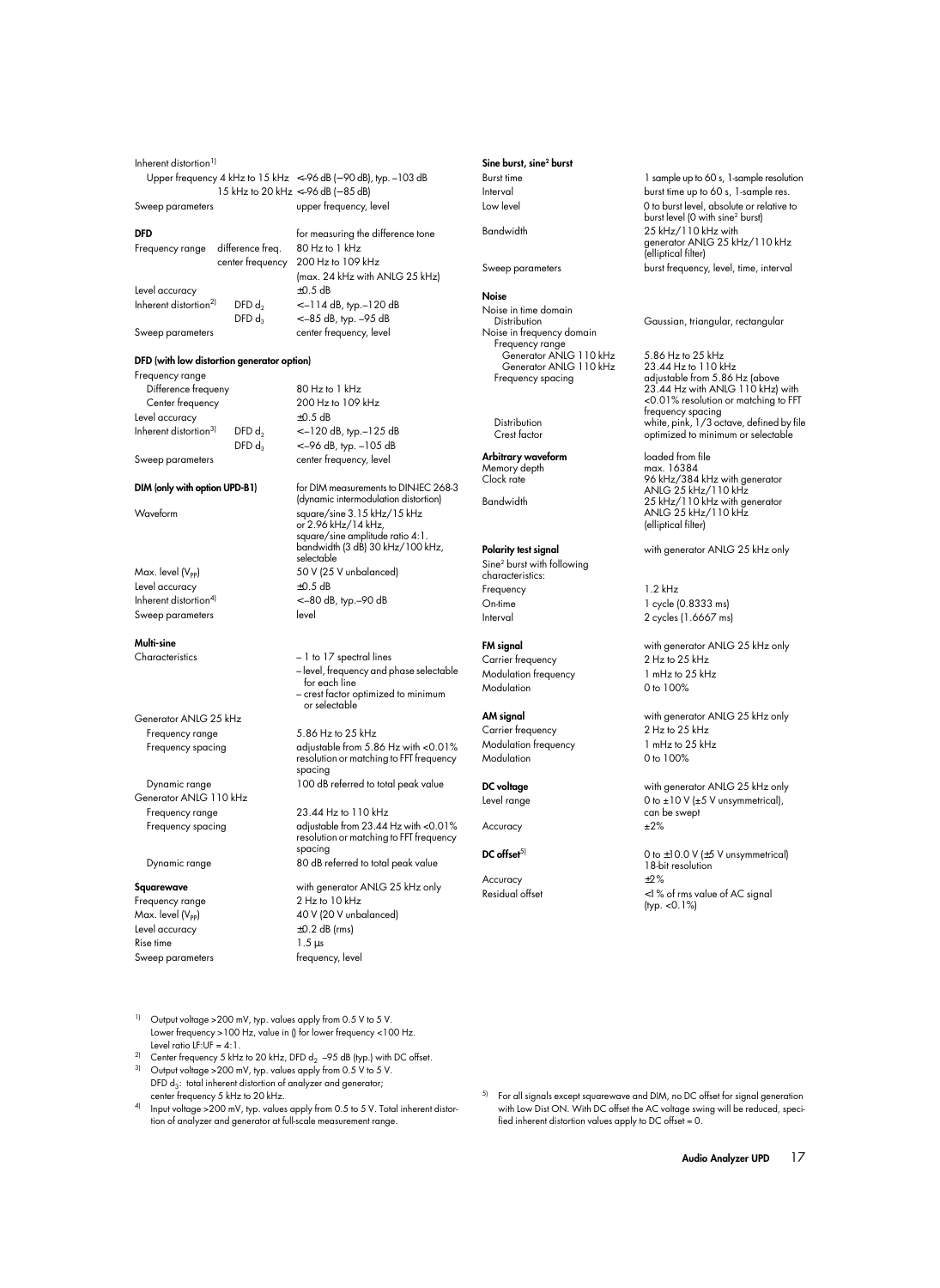| Inherent distortion <sup>1)</sup>                                            |                                   |
|------------------------------------------------------------------------------|-----------------------------------|
| Upper frequency 4 kHz to $15$ kHz $\leq -96$ dB ( $-$ 90 dB), typ. $-103$ dB |                                   |
|                                                                              | 15 kHz to 20 kHz <-96 dB (-85 dB) |
| Sweep parameters                                                             | upper frequency, level            |

### **DFD** for measuring the difference tone Frequency range difference freq. 80 Hz to 1 kHz center frequency 200 Hz to 109 kHz (max. 24 kHz with ANLG 25 kHz) Level accuracy ±0.5 dB Inherent distortion<sup>2)</sup> DFD d<sub>2</sub>  $\leftarrow$  -114 dB, typ.–120 dB DFD  $d_3 \le -85$  dB, typ.  $-95$  dB Sweep parameters extending center frequency, level

### **DFD (with low distortion generator option)**

Frequency range Difference frequeny 80 Hz to 1 kHz Center frequency 200 Hz to 109 kHz Level accuracy ±0.5 dB Inherent distortion<sup>3)</sup> DFD  $d_2$  < -120 dB, typ.–125 dB

DFD  $d_3$  < -96 dB, typ. -105 dB Sweep parameters extending center frequency, level

Level accuracy Sweep parameters and level

### **Multi-sine**

Generator ANLG 25 kHz Frequency range 5.86 Hz to 25 kHz

Generator ANLG 110 kHz Frequency range 23.44 Hz to 110 kHz

Dynamic range 80 dB referred to total peak value

Level accuracy ±0.2 dB (rms) Rise time 1.5 us Sweep parameters frequency, level

**DIM** (only with option UPD-B1) for DIM measurements to DIN-IEC 268-3 (dynamic intermodulation distortion) Waveform square/sine 3.15 kHz/15 kHz or 2.96 kHz/14 kHz, square/sine amplitude ratio 4:1. bandwidth (3 dB) 30 kHz/100 kHz, selectable Max. level (V<sub>PP</sub>) 50 V (25 V unbalanced)<br>
Level accuracy  $\pm 0.5$  dB Inherent distortion<sup>4)</sup>  $<-80$  dB, typ.  $-90$  dB

Characteristics – 1 to 17 spectral lines – level, frequency and phase selectable for each line – crest factor optimized to minimum or selectable

Frequency spacing adjustable from 5.86 Hz with <0.01% resolution or matching to FFT frequency spacing Dynamic range 100 dB referred to total peak value

Frequency spacing adjustable from 23.44 Hz with <0.01% resolution or matching to FFT frequency spacing

**Squarewave** with generator ANLG 25 kHz only Frequency range 2 Hz to 10 kHz Max. level  $(V_{PP})$  40 V (20 V unbalanced)

### **Sine burst, sine2 burst**

### **Noise**

Noise in time domain<br>Distribution Noise in frequency domain Frequency range Generator ANLG 110 kHz 5.86 Hz to 25 kHz Generator ANLG 110 kHz 23.44 Hz to 110 kHz<br>Frequency spacing adjustable from 5.86

**Arbitrary waveform** loaded from file<br>Memory depth max. 16384 Memory depth<br>Clock rate

## Sine2 burst with following characteristics: Frequency 1.2 kHz On-time 1 cycle (0.8333 ms) Interval 2 cycles (1.6667 ms)

Carrier frequency Modulation frequency 1 mHz to 25 kHz Modulation 0 to 100%

Carrier frequency Modulation frequency 1 mHz to 25 kHz Modulation 0 to 100%

Accuracy  $\pm 2\%$ 

Accuracy  $\pm 2\%$ 

Burst time 1 sample up to 60 s, 1-sample resolution Interval burst time up to 60 s, 1-sample res. Low level **Low** level **Low** level, absolute or relative to burst level (0 with sine2 burst) Bandwidth 25 kHz/110 kHz with generator ANLG 25 kHz/110 kHz (elliptical filter) Sweep parameters burst frequency, level, time, interval

Gaussian, triangular, rectangular

adjustable from 5.86 Hz (above 23.44 Hz with ANLG 110 kHz) with <0.01% resolution or matching to FFT frequency spacing Distribution white, pink, 1/3 octave, defined by file<br>Crest factor optimized to minimum or selectable optimized to minimum or selectable

96 kHz/384 kHz with generator ANLG 25 kHz/110 kHz Bandwidth 25 kHz/110 kHz with generator ANLG 25 kHz/110 kHz (elliptical filter)

**Polarity test signal** with generator ANLG 25 kHz only

**FM signal** with generator ANLG 25 kHz only<br>
Carrier frequency 2 Hz to 25 kHz

**AM signal** with generator ANLG 25 kHz only<br>
Carrier freauency 2 Hz to 25 kHz

**DC voltage** with generator ANLG 25 kHz only Level range  $0$  to  $\pm 10$  V ( $\pm 5$  V unsymmetrical), can be swept

**DC offset**<sup>5)</sup> 0 to  $\pm$ 10.0 V ( $\pm$ 5 V unsymmetrical) 18-bit resolution Residual offset <1% of rms value of AC signal (typ. <0.1%)

- <sup>1)</sup> Output voltage >200 mV, typ. values apply from 0.5 V to 5 V. Lower frequency >100 Hz, value in () for lower frequency <100 Hz. Level ratio  $IF:UF = A:1$ .
- <sup>2)</sup> Center frequency 5 kHz to 20 kHz, DFD  $d_2$  –95 dB (typ.) with DC offset. Output voltage >200 mV, typ. values apply from 0.5 V to 5 V.
- DFD  $d_3$ : total inherent distortion of analyzer and generator; center frequency 5 kHz to 20 kHz.
- <sup>4)</sup> Input voltage >200 mV, typ. values apply from 0.5 to 5 V. Total inherent distortion of analyzer and generator at full-scale measurement range.
- 5) For all signals except squarewave and DIM, no DC offset for signal generation with Low Dist ON. With DC offset the AC voltage swing will be reduced, specified inherent distortion values apply to DC offset = 0.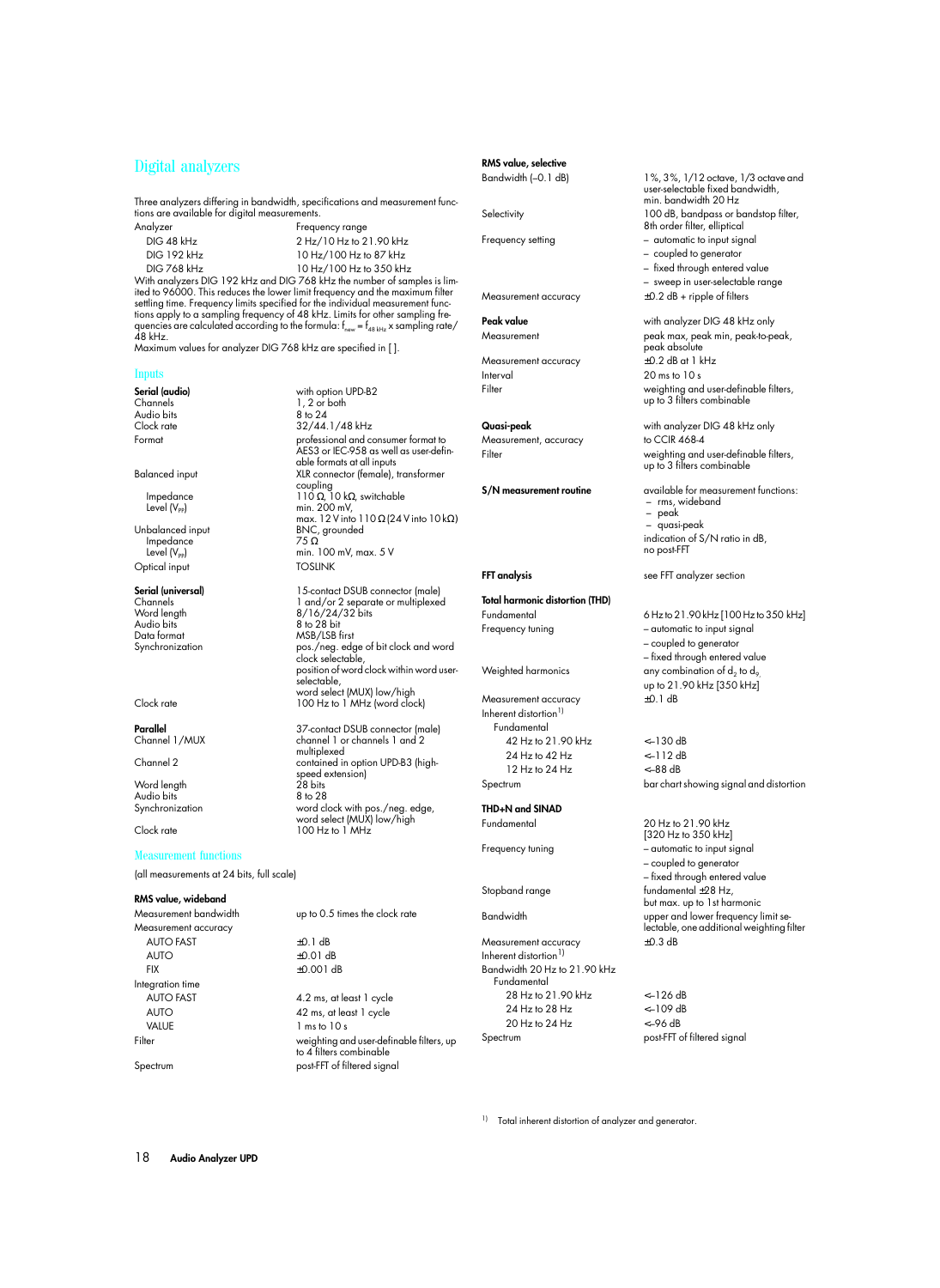# Digital analyzers

Three analyzers differing in bandwidth, specifications and measurement functions are available for digital measurements.

| Analyzer                                                     | Frequency range         |
|--------------------------------------------------------------|-------------------------|
| DIG 48 kHz                                                   | 2 Hz/10 Hz to 21.90 kHz |
| <b>DIG 192 kHz</b>                                           | 10 Hz/100 Hz to 87 kHz  |
| <b>DIG 768 kHz</b>                                           | 10 Hz/100 Hz to 350 kHz |
| With analyzers DIG 192 kHz and DIG 768 kHz the number of sar |                         |

mples is limited to 96000. This reduces the lower limit frequency and the maximum filter settling time. Frequency limits specified for the individual measurement functions apply to a sampling frequency of 48 kHz. Limits for other sampling frequencies are calculated according to the formula:  $f_{new} = f_{ABkHz}$  x sampling rate/  $\overline{48}$  kHz.

Maximum values for analyzer DIG 768 kHz are specified in [ ].

### Inputs

**Serial (audio)** with option UPD-B2 Audio bits<br>Clock rate

Unbalanced input BNC,<br>Impedance 75.0 Impedance<br>Level (V<sub>oo</sub>) Optical input

Audio bits 8 to 28 bit<br>Data format MSB/LSB f Data format<br>
Synchronization<br>
pos./neg.edd

Word length 28 bits<br>Audio bits 8 to 28 Audio bits<br>Synchronization

### Measurement functions

(all measurements at 24 bits, full scale)

### **RMS value, wideband**

Measurement accuracy AUTO FAST  $+0.1$  dB AUTO  $±0.01$  dB FIX ±0.001 dB Integration time AUTO FAST 4.2 ms, at least 1 cycle

32/44.1/48 kHz Format professional and consumer format to AES3 or IEC-958 as well as user-definable formats at all inputs Balanced input XLR connector (female), transformer coupling Impedance 110 Ω, 10 kΩ, switchable Level  $(V_{PP})$  min. 200 mV, max. 12 V into 110 Ω (24 V into 10 kΩ)<br>BNC, grounded min. 100 mV, max. 5 V<br>TOSLINK

 $\frac{1}{8}$  to  $\frac{24}{8}$ 

**Serial (universal)** 15-contact DSUB connector (male)<br>
Channels 1 and/or 2 separate or multiplexed Channels 1 and/or 2 separate or multiplexed Word length  $8/16/24/32$  bits<br>Audio bits 8 to 28 bit pos./neg. edge of bit clock and word clock selectable, position of word clock within word user-.<br>selectable, word select (MUX) low/high Clock rate 100 Hz to 1 MHz (word clock)

**Parallel** 37-contact DSUB connector (male)<br>
Channel 1/MUX channel 1 or channels 1 and 2 channel 1 or channels 1 and 2 multiplexed Channel 2 contained in option UPD-B3 (highspeed extension)<br>28 bits Synchronization word clock with pos./neg. edge, word select (MUX) low/high Clock rate 100 Hz to 1 MHz

Measurement bandwidth up to 0.5 times the clock rate

AUTO 42 ms, at least 1 cycle<br>VALUE 1 ms to 10 s  $1 \text{ ms}$  to  $10 \text{ s}$ Filter weighting and user-definable filters, up to 4 filters combinable Spectrum post-FFT of filtered signal

# **RMS value, selective**

Measurement accuracy  $\pm 0.2$  dB + ripple of filters

Measurement accuracy  $\pm 0.2$  dB at 1 kHz Interval 20 ms to 10 s

Measurement, accuracy to CCIR 468-4

**Total harmonic distortion (THD)**  Fundamental 6 Hz to 21.90 kHz [100 Hz to 350 kHz]

Measurement accuracy  $\pm$ 0.1 dB Inherent distortion<sup>1)</sup> Fundamental 42 Hz to 21.90 kHz <–130 dB 24 Hz to 42 Hz <–112 dB 12 Hz to 24 Hz <–88 dB

# **THD+N and SINAD**

Measurement accuracy  $\pm 0.3$  dB Inherent distortion $^{1}$ Bandwidth 20 Hz to 21.90 kHz Fundamental 28 Hz to 21.90 kHz <–126 dB 24 Hz to 28 Hz <–109 dB 20 Hz to 24 Hz <–96 dB Spectrum post-FFT of filtered signal

Bandwidth (–0.1 dB) 1%, 3%, 1/12 octave, 1/3 octave and user-selectable fixed bandwidth, min. bandwidth 20 Hz Selectivity 100 dB, bandpass or bandstop filter, 8th order filter, elliptical Frequency setting  $-$  automatic to input signal

- coupled to generator
- fixed through entered value
- sweep in user-selectable range

**Peak value** with analyzer DIG 48 kHz only Measurement peak max, peak min, peak-to-peak, .<br>peak absolute Filter weighting and user-definable filters, up to 3 filters combinable

**Quasi-peak** with analyzer DIG 48 kHz only Filter weighting and user-definable filters, up to 3 filters combinable

**S/N measurement routine** available for measurement functions: – rms, wideband – peak – quasi-peak indication of S/N ratio in dB, no post-FFT

**FFT analysis** see FFT analyzer section

Frequency tuning  $-$  automatic to input signal – coupled to generator – fixed through entered value Weighted harmonics any combination of  $d_2$  to  $d_9$ up to 21.90 kHz [350 kHz]

Spectrum bar chart showing signal and distortion

Fundamental 20 Hz to 21.90 kHz [320 Hz to 350 kHz] Frequency tuning  $-$  automatic to input signal – coupled to generator – fixed through entered value Stopband range fundamental ±28 Hz, but max. up to 1st harmonic Bandwidth upper and lower frequency limit selectable, one additional weighting filter

<sup>1)</sup> Total inherent distortion of analyzer and generator.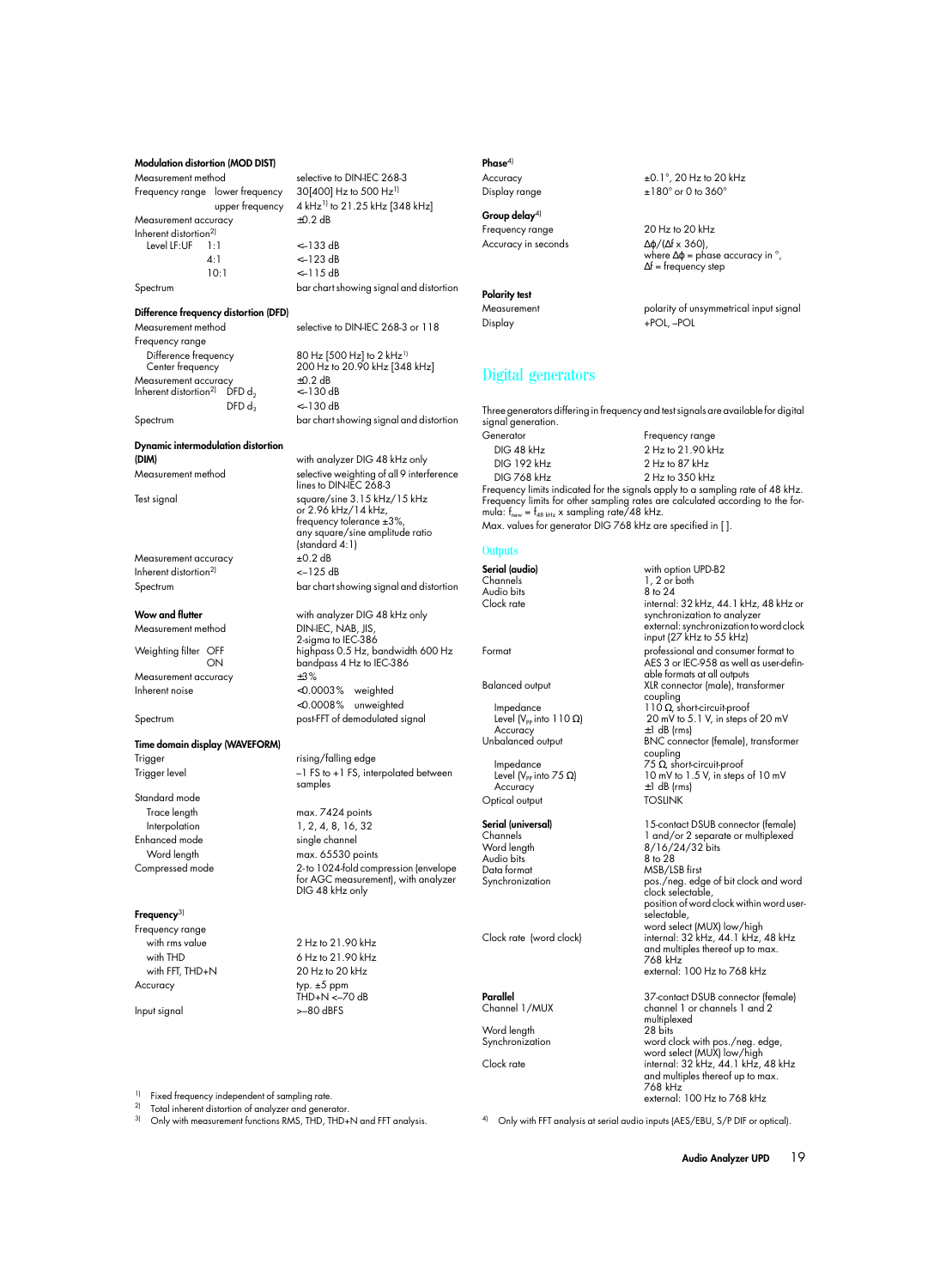### **Modulation distortion (MOD DIST)**

Measurement method selective to DIN-IEC 268-3 Frequency range lower frequency  $30[400]$  Hz to 500 Hz<sup>1)</sup> Measurement accuracy Inherent distortion<sup>2)</sup><br> $I evel IF·IIF = 1·I$ Level LF:UF 1:1 <–133 dB 4:1 <–123 dB  $10 \cdot 1$   $\leq -115 \text{ dB}$ 

upper frequency  $4 \text{ kHz}^{1}$  to 21.25 kHz [348 kHz]<br>uracy  $+0.2 \text{ dB}$ 

Spectrum bar chart showing signal and distortion

**Difference frequency distortion (DFD)**

Measurement method selective to DIN-IEC 268-3 or 118 Frequency range Difference frequency 80 Hz [500 Hz] to 2 kHz<sup>1)</sup><br>Center frequency 200 Hz to 20.90 kHz [348 Measurement accuracy  $\pm 0.2$  dB<br>Inherent distortion<sup>2)</sup> DFD d<sub>2</sub>  $<-130$  dB Inherent distortion<sup>2)</sup> DFD d<sub>2</sub><br>DFD d<sub>3</sub>

200 Hz to 20.90 kHz [348 kHz]<br>+0.2 dB

 $<-130$  dB Spectrum bar chart showing signal and distortion

lines to DIN-IEC 268-3

**Dynamic intermodulation distortion**

**(DIM)** with analyzer DIG 48 kHz only Measurement method selective weighting of all 9 interference

Measurement accuracy  $\pm 0.2$  dB Inherent distortion<sup>2)</sup>  $<-125$  dB

Measurement method

Measurement accuracy ±3%

**Time domain display (WAVEFORM)** 

Standard mode Trace length max. 7424 points Enhanced mode

### **Frequency**3)

Frequency range Accuracy typ. ±5 ppm

Test signal square/sine 3.15 kHz/15 kHz or 2.96 kHz/14 kHz, frequency tolerance ±3%, any square/sine amplitude ratio (standard 4:1) Spectrum bar chart showing signal and distortion **Wow and flutter** with analyzer DIG 48 kHz only

2-sigma to IEC-386 Weighting filter OFF highpass 0.5 Hz, bandwidth 600 Hz<br>ON bandpass 4 Hz to IEC-386 bandpass 4 Hz to IEC-386 Inherent noise <0.0003% weighted <0.0008% unweighted Spectrum post-FFT of demodulated signal

Trigger rising/falling edge -1 FS to +1 FS, interpolated between samples

Interpolation 1, 2, 4, 8, 16, 32<br>hanced mode single channel Word length max. 65530 points Compressed mode 2- to 1024-fold compression (envelope for AGC measurement), with analyzer DIG 48 kHz only

with rms value 2 Hz to 21.90 kHz with THD 6 Hz to 21.90 kHz with FFT, THD+N 20 Hz to 20 kHz THD+N <–70 dB Input signal >–80 dBFS

# **Phase**4)

Accuracy  $\pm 0.1^\circ$ , 20 Hz to 20 kHz Display range  $\pm 180^\circ$  or 0 to 360°

**Group delay**4)

Frequency range 20 Hz to 20 kHz Accuracy in seconds ∆ϕ/(∆f x 360),

### **Polarity test**

where  $\Delta \varphi$  = phase accuracy in  $^{\circ}$ , ∆f = frequency step

Measurement measurement polarity of unsymmetrical input signal Display +POL, –POL

# Digital generators

Three generators differing in frequency and test signals are available for digital signal generation.

Generator Frequency range DIG 48 kHz 2 Hz to 21.90 kHz DIG 192 kHz<br>DIG 768 kHz 2 Hz to 350 kHz DIG 768 kHz 2 Hz to 350 kHz Frequency limits indicated for the signals apply to a sampling rate of 48 kHz. Frequency limits tor other sampling rates are calculated according to the tor-<br>mula: f<sub>new</sub> = f<sub>48 kHz</sub> x sampling rate/48 kHz.

Max. values for generator DIG 768 kHz are specified in [ ].

### **Outputs**

**Serial (audio)** with option UPD-B2  $1, 2$  or both<br>8 to 24 Audio bits<br>Clock rate internal: 32 kHz, 44.1 kHz, 48 kHz or synchronization to analyzer external: synchronization to word clock input ( $27$  kHz to  $55$  kHz) Format professional and consumer format to AES 3 or IEC-958 as well as user-definable formats at all outputs Balanced output XLR connector (male), transformer coupling Impedance 110 Ω, short-circuit-proof<br>Level (V<sub>PP</sub> into 110 Ω) 20 mV to 5.1 V, in steps Level  $(V_{PP}$  into 110 Ω) 20 mV to 5.1 V, in steps of 20 mV<br>Accuracy  $\pm 1$  dB (rms) Accuracy  $\pm 1$  dB (rms)<br>Unbalanced output BNC conne BNC connector (female), transformer coupling Impedance 75 Ω, short-circuit-proof Level  $(V_{PP}$  into 75 Ω) 10 mV to 1.5 V, in steps of 10 mV<br>Accuracy  $\pm 1$  dB (rms)  $±1$  dB (rms) Optical output TOSLINK **Serial (universal)** 15-contact DSUB connector (female) Channels 1 and/or 2 separate or multiplexed<br>Word length 16/16/24/32 bits 8/16/24/32 bits Audio bits Data format MSB/LSB first pos./neg. edge of bit clock and word clock selectable, position of word clock within word userselectable, word select (MUX) low/high Clock rate (word clock) internal: 32 kHz, 44.1 kHz, 48 kHz and multiples thereof up to max. 768 kHz external: 100 Hz to 768 kHz **Parallel** 37-contact DSUB connector (female)<br>
Channel 1 / MUX channel 1 or channels 1 and 2 channel 1 or channels 1 and 2 multiplexed<br>28 hits Word length<br>Synchronization word clock with pos./neg. edge, word select (MUX) low/high Clock rate internal: 32 kHz, 44.1 kHz, 48 kHz

<sup>1)</sup> Fixed frequency independent of sampling rate.

2) Total inherent distortion of analyzer and generator.<br>3) Cohrwith mogeurement functions PMS, THD, THD.

3) Only with measurement functions RMS, THD, THD+N and FFT analysis.

and multiples thereof up to max.

external: 100 Hz to 768 kHz

768 kHz

4) Only with FFT analysis at serial audio inputs (AES/EBU, S/P DIF or optical).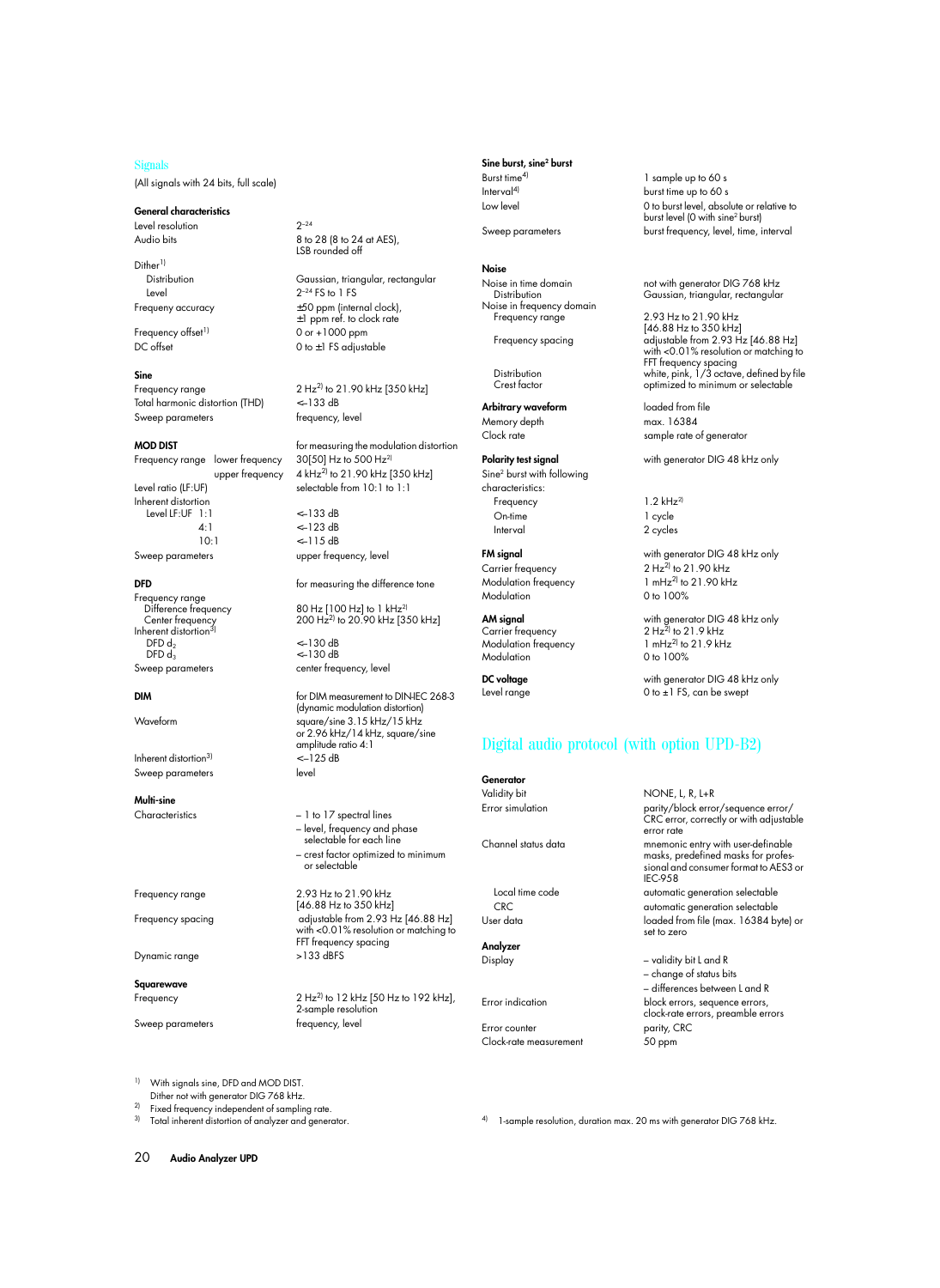### Signals

(All signals with 24 bits, full scale)

### **General characteristics**

Level resolution 2–24

Dither<sup>1)</sup> Level  $2^{-24}$  FS to 1 FS

### **Sine**

Frequency range  $2 \text{ Hz}^2$  to 21.90 kHz [350 kHz] Total harmonic distortion (THD) <–133 dB Sweep parameters frequency, level

Frequency range lower frequency 30[50] Hz to 500 Hz<sup>2]</sup> Level ratio (LF:UF) selectable from 10:1 to 1:1 Inherent distortion Level LF:UF 1:1 <–133 dB  $4 \cdot 1$   $\leq -123 \text{ dB}$ 10:1 <–115 dB

Frequency range Center frequency<br>Inherent distortion<sup>3)</sup> DFD  $d_2$   $\leftarrow$  130 dB<br>DFD  $d_3$   $\leftarrow$  130 dB

Inherent distortion<sup>3)</sup>  $<-125 dB$ Sweep parameters **level** 

**Multi-sine**

Dynamic range >133 dBFS

**Squarewave**

Audio bits 8 to 28 (8 to 24 at AES), LSB rounded off

Distribution Gaussian, triangular, rectangular Frequeny accuracy ±50 ppm (internal clock), ±1 ppm ref. to clock rate Frequency offset<sup>1)</sup> 0 or +1000 ppm<br>DC offset 0 to +1 FS adjust 0 to  $\pm 1$  FS adjustable

**MOD DIST** for measuring the modulation distortion upper frequency  $4 \text{ kHz}^{2}$  to  $21.90 \text{ kHz}$  [350 kHz]

Sweep parameters upper frequency, level

**DFD** for measuring the difference tone

 $80$  Hz  $[100$  Hz $]$  to 1 kHz<sup>2)</sup> 200 Hz<sup>2)</sup> to 20.90 kHz [350 kHz]

 $<-130$  dB Sweep parameters extending the center frequency, level

**DIM** for DIM measurement to DIN-IEC 268-3 (dynamic modulation distortion) Waveform square/sine 3.15 kHz/15 kHz or 2.96 kHz/14 kHz, square/sine amplitude ratio 4:1

Characteristics – 1 to 17 spectral lines – level, frequency and phase selectable for each line – crest factor optimized to minimum or selectable

Frequency range 2.93 Hz to 21.90 kHz [46.88 Hz to 350 kHz] Frequency spacing adjustable from 2.93 Hz [46.88 Hz] with <0.01% resolution or matching to FFT frequency spacing

Frequency 2 Hz<sup>2)</sup> to 12 kHz [50 Hz to 192 kHz], 2-sample resolution Sweep parameters **frequency**, level

### **Sine burst, sine2 burst**

## **Noise**

Noise in frequency domain Frequency range 2.93 Hz to 21.90 kHz

**Arbitrary waveform loaded from file** Memory depth max. 16384

Sine2 burst with following characteristics: Frequency 1.2 kHz<sup>2)</sup> On-time 1 cycle Interval 2 cycles

 $\text{Modulation frequency} \quad 1 \text{ mHz}^2 \text{ to} \quad 100\%$ **Modulation** 

Carrier frequency  $2 \text{ Hz}^2$  to  $21.9 \text{ kHz}^2$ <br>Modulation frequency  $1 \text{ mHz}^2$  to  $21.9 \text{ kHz}^2$ Modulation frequency  $1 \text{ mHz}^2$  to  $21.90\%$ <br>Modulation  $0 \text{ to } 100\%$ Modulation

# Digital audio protocol (with option UPD-B2)

1-sample resolution, duration max. 20 ms with generator DIG 768 kHz.

**Generator**

**Analyzer**

Error counter **parity**, CRC Clock-rate measurement 50 ppm

Burst time<sup>4)</sup> 1 sample up to 60 s Interval<sup>4)</sup> burst time up to 60 s Low level **Low** level, absolute or relative to burst level (0 with sine2 burst) Sweep parameters burst frequency, level, time, interval

Noise in time domain not with generator DIG 768 kHz Distribution Gaussian, triangular, rectangular

[46.88 Hz to 350 kHz] Frequency spacing adjustable from 2.93 Hz [46.88 Hz] with <0.01% resolution or matching to FFT frequency spacing Distribution white, pink, 1/3 octave, defined by file Crest factor **contracts** optimized to minimum or selectable

Clock rate sample rate of generator

**Polarity test signal** with generator DIG 48 kHz only

**FM signal** with generator DIG 48 kHz only Carrier frequency  $2 \text{ Hz}^2$  to  $21.90 \text{ kHz}$ <br>Modulation frequency  $1 \text{ mHz}^2$  to  $21.90 \text{ kHz}$ 

**AM signal** with generator DIG 48 kHz only

**DC voltage** with generator DIG 48 kHz only Level range  $0$  to  $\pm 1$  FS, can be swept

Validity bit NONE, L, R, L+R

Error simulation parity/block error/sequence error/ CRC error, correctly or with adjustable error rate Channel status data mnemonic entry with user-definable masks, predefined masks for professional and consumer format to AES3 or IEC-958 Local time code automatic generation selectable CRC automatic generation selectable User data loaded from file (max. 16384 byte) or set to zero Display – validity bit L and R – change of status bits

– differences between L and R Error indication block errors, sequence errors, clock-rate errors, preamble errors

1) With signals sine, DFD and MOD DIST. Dither not with generator DIG 768 kHz.

<sup>2)</sup> Fixed frequency independent of sampling rate.<br><sup>3)</sup> Total inherent distortion of analyzer and general

Total inherent distortion of analyzer and generator.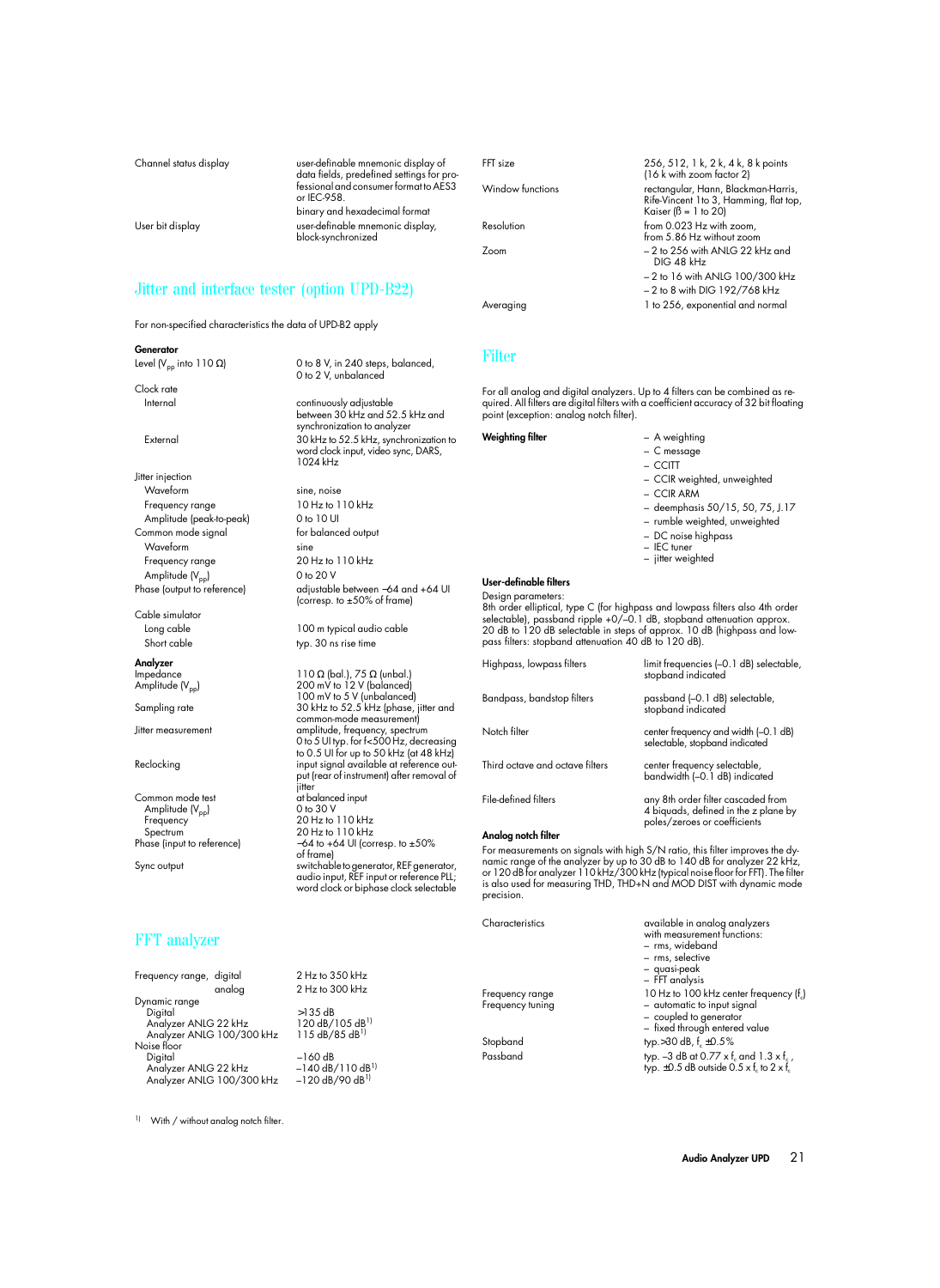Channel status display user-definable mnemonic display of data fields, predefined settings for professional and consumer format to AES3 or IEC-958. binary and hexadecimal format User bit display user-definable mnemonic display, block-synchronized

# Jitter and interface tester (option UPD-B22)

For non-specified characteristics the data of UPD-B2 apply

### **Generator**

Clock rate

Jitter injection Waveform sine, noise Frequency range 10 Hz to 110 kHz Amplitude (peak-to-peak) 0 to 10 UI Common mode signal for balanced output Waveform sine Frequency range 20 Hz to 110 kHz Amplitude  $(V_{\text{pp}})$  0 to 20 V

Cable simulator

# **Analyzer**

Common mode test at balance<br>Amplitude (V<sub>nn</sub>) 0 to 30 V Amplitude (V<sub>pp</sub>)<br>Frequency Frequency 20 Hz to 110 kHz Spectrum 20 Hz to 110 kHz

# FFT analyzer

| Frequency range, digital |                           | $2$ Hz to 350 kHz                   |
|--------------------------|---------------------------|-------------------------------------|
|                          | analog                    | 2 Hz to 300 kHz                     |
| Dynamic range            |                           |                                     |
| Digital                  |                           | $>135$ dB                           |
| Analyzer ANLG 22 kHz     |                           | 120 dB/105 dB <sup>1)</sup>         |
|                          | Analyzer ANLG 100/300 kHz | 115 dB/85 dB <sup>1)</sup>          |
| Noise floor              |                           |                                     |
| Digital                  |                           | $-160$ dB                           |
| Analyzer ANLG 22 kHz     |                           | $-140$ dB/110 dB <sup>11</sup>      |
|                          | Analyzer ANLG 100/300 kHz | $-120 \text{ dB}/90 \text{ dB}^{1}$ |
|                          |                           |                                     |

Level (V<sub>pp</sub> into 110 Ω) 0 to 8 V, in 240 steps, balanced, 0 to 2 V, unbalanced

Internal continuously adjustable between 30 kHz and 52.5 kHz and synchronization to analyzer External 30 kHz to 52.5 kHz, synchronization to word clock input, video sync, DARS, 1024 kHz

Phase (output to reference) adjustable between −64 and +64 UI (corresp. to ±50% of frame)

Long cable 100 m typical audio cable Short cable typ. 30 ns rise time

Impedance 110 Ω (bal.), 75 Ω (unbal.) Amplitude (V<sub>pp</sub>) 200 mV to 12 V (balanced) 100 mV to 5 V (unbalanced) Sampling rate 30 kHz to 52.5 kHz (phase, jitter and common-mode measurement) Jitter measurement amplitude, frequency, spectrum 0 to 5 UI typ. for f<500 Hz, decreasing to 0.5 UI for up to 50 kHz (at 48 kHz) Reclocking input signal available at reference output (rear of instrument) after removal of jitter<br>at balanced input Phase (input to reference)  $-64$  to +64 UI (corresp. to ±50% of frame) Sync output switchable to generator, REF generator, audio input, REF input or reference PLL; word clock or biphase clock selectable

FFT size 256, 512, 1 k, 2 k, 4 k, 8 k points (16 k with zoom factor 2) Window functions rectangular, Hann, Blackman-Harris, Rife-Vincent 1to 3, Hamming, flat top, Kaiser  $( \beta = 1$  to 20) Resolution from 0.023 Hz with zoom, from 5.86 Hz without zoom Zoom – 2 to 256 with ANLG 22 kHz and DIG 48 kHz – 2 to 16 with ANLG 100/300 kHz – 2 to 8 with DIG 192/768 kHz Averaging 1 to 256, exponential and normal

### Filter

For all analog and digital analyzers. Up to 4 filters can be combined as required. All filters are digital filters with a coefficient accuracy of 32 bit floating point (exception: analog notch filter).

### **Weighting filter** – A weighting

- C message
- 
- CCITT
- 
- CCIR weighted, unweighted
- CCIR ARM
- deemphasis 50/15, 50, 75, J.17
- rumble weighted, unweighted
- DC noise highpass
- IEC tuner
- jitter weighted

### **User-definable filters**

Design parameters:

8th order elliptical, type C (for highpass and lowpass filters also 4th order selectable), passband ripple +0/–0.1 dB, stopband attenuation approx. 20 dB to 120 dB selectable in steps of approx. 10 dB (highpass and low-pass filters: stopband attenuation 40 dB to 120 dB).

| Highpass, lowpass filters       | limit frequencies (-0.1 dB) selectable,<br>stopband indicated                                              |
|---------------------------------|------------------------------------------------------------------------------------------------------------|
| Bandpass, bandstop filters      | passband (-0.1 dB) selectable,<br>stopband indicated                                                       |
| Notch filter                    | center frequency and width (-0.1 dB)<br>selectable, stopband indicated                                     |
| Third octave and octave filters | center frequency selectable,<br>bandwidth (-0.1 dB) indicated                                              |
| File-defined filters            | any 8th order filter cascaded from<br>4 biguads, defined in the z plane by<br>poles/zeroes or coefficients |

### **Analog notch filter**

For measurements on signals with high S/N ratio, this filter improves the dynamic range of the analyzer by up to 30 dB to 140 dB tor analyzer 22 kHz,<br>or 120 dB for analyzer 110 kHz/300 kHz (typical noise floor for FFT). The filter<br>is also used for measuring THD, THD+N and MOD DIST with dynamic mod precision.

Characteristics available in analog analyzers with measurement functions: – rms, wideband – rms, selective – quasi-peak – FFT analysis Frequency range 10 Hz to 100 kHz center frequency (f<sub>c</sub>)<br>Frequency tuning - automatic to input signal - automatic to input signal – coupled to generator – fixed through entered value Stopband typ.>30 dB,  $f_c \pm 0.5\%$ <br>Passband typ. $-3$  dB at  $0.77 \times f$ typ. –3 dB at 0.77  $\times$  f<sub>c</sub> and 1.3  $\times$  f<sub>c</sub>, typ.  $\pm$ 0.5 dB outside 0.5 x f<sub>c</sub> to 2 x  $\check{f}_c$ 

<sup>1)</sup> With / without analog notch filter.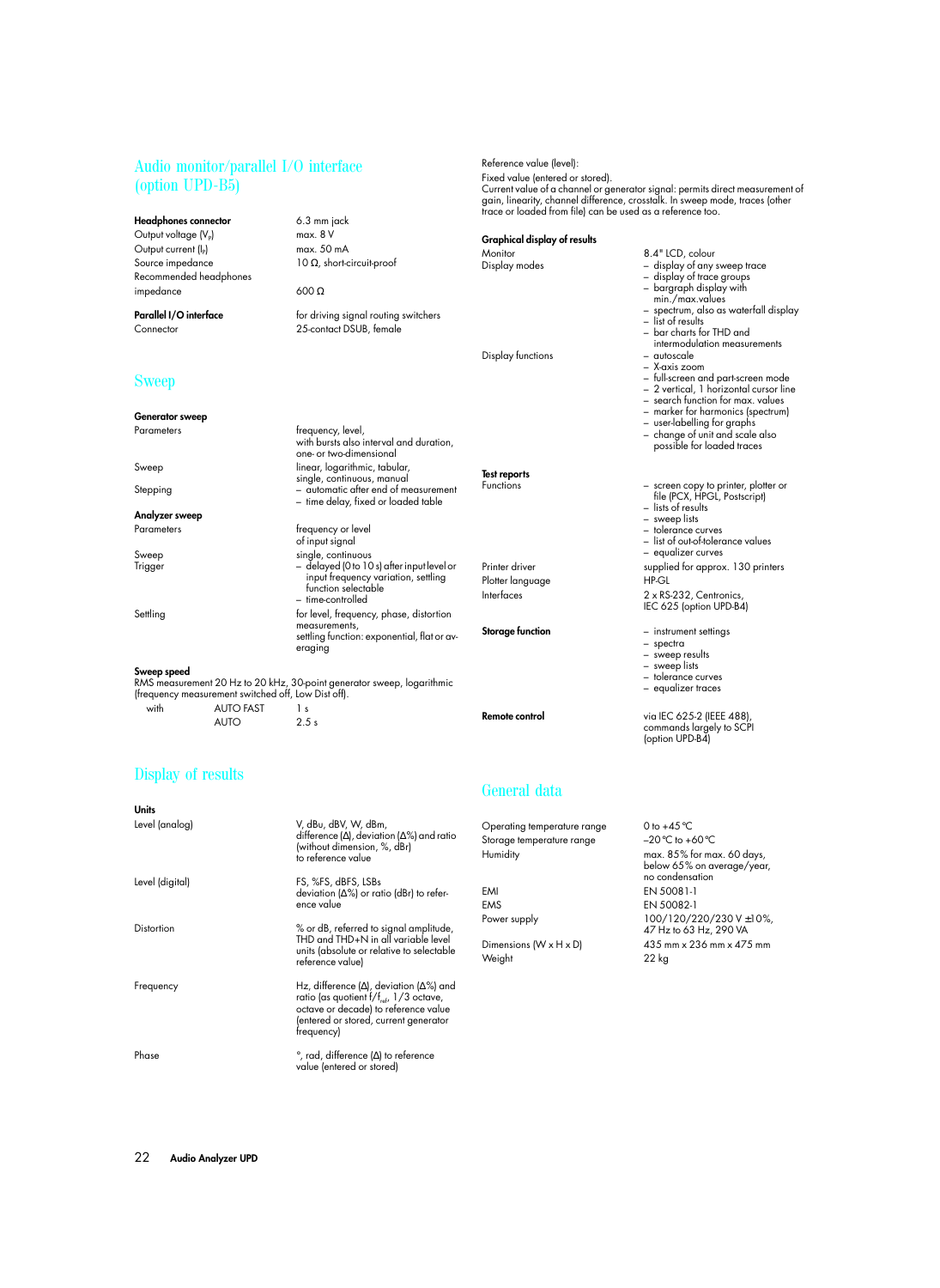# Audio monitor/parallel I/O interface (option UPD-B5)

**Headphones connector** 6.3 mm jack<br>Output voltage (V<sub>n</sub>) max. 8 V Output voltage (V<sub>P</sub>) Output current  $(I_P)$  max. 50 mA<br>Source impedance  $10 \Omega$ , short-c Recommended headphones impedance 600 Ω

# Sweep

| <b>Generator sweep</b> |                                                                               |  |
|------------------------|-------------------------------------------------------------------------------|--|
| Parameters             | frequency, level,<br>with bursts also interval and<br>one- or two-dimensional |  |
| Sweep                  | linear, logarithmic, tabular<br>single, continuous, manual                    |  |
| Stepping               | - automatic after end of m<br>- time delay, fixed or load                     |  |
| Analyzer sweep         |                                                                               |  |
| Parameters             | frequency or level<br>of input signal                                         |  |
| Sweep                  | single, continuous                                                            |  |
|                        | $\blacksquare$                                                                |  |

### **Sweep speed**

RMS measurement 20 Hz to 20 kHz, 30-point generator sweep, logarithmic (frequency measurement switched off, Low Dist off).

 $AIITO$  2.5 s

with AUTO FAST 1 s

# Display of results

### **Units** Level (analog) V, dBu, dBV, W, dBm, difference (∆), deviation (∆%) and ratio (without dimension, %, dBr) to reference value Level (digital) FS, %FS, dBFS, LSBs deviation (∆%) or ratio (dBr) to reference value Distortion % or dB, referred to signal amplitude, THD and THD+N in all variable level units (absolute or relative to selectable reference value) Frequency Hz, difference (∆), deviation (∆%) and ratio (as quotient  $f/f_{ref}$ ,  $1/3$  octave, octave or decade) to reference value (entered or stored, current generator frequency) Phase <sup>°</sup>, rad, difference (Δ) to reference value (entered or stored)

10  $\Omega$ , short-circuit-proof

**Parallel I/O interface** for driving signal routing switchers Connector 25-contact DSUB, female

with bursts also interval and duration, one- or two-dimensional single, continuous, manual Stepping – automatic after end of measurement – time delay, fixed or loaded table of input signal single, continuous Trigger – delayed (0 to 10 s) after input level or input frequency variation, settling function selectable – time-controlled

Settling Settling for level, frequency, phase, distortion measurements, settling function: exponential, flat or averaging

Reference value (level): Fixed value (entered or stored).

**Graphical display of results**

Display functions

**Test reports**

# General data

Operating temperature range  $0$  to  $+45^{\circ}$ C Storage temperature range  $-20^{\circ}$ C to +60 $^{\circ}$ C Humidity max. 85% for max. 60 days, EMI EN 50081-1 EMS EN 50082-1

Weight 22 kg

### – search function for max. values – marker for harmonics (spectrum) – user-labelling for graphs – change of unit and scale also possible for loaded traces

– full-screen and part-screen mode – 2 vertical, 1 horizontal cursor line

– display of any sweep trace<br>– display of trace groups – display of trace groups – bargraph display with min./max.values

– list of results – bar charts for THD and intermodulation measurements<br>= quioscale

– X-axis zoom

spectrum, also as waterfall display

Functions – screen copy to printer, plotter or file (PCX, HPGL, Postscript)

– lists of results

– sweep lists

Current value of a channel or generator signal: permits direct measurement of gain, linearity, channel difference, crosstalk. In sweep mode, traces (other trace or loaded from file) can be used as a reference too.

Monitor 8.4" LCD, colour<br>Display modes - display of any

– tolerance curves

– list of out-of-tolerance values

 – equalizer curves Printer driver supplied for approx. 130 printers Plotter language HP-GL

Interfaces 2 x RS-232, Centronics,

IEC 625 (option UPD-B4)

- **Storage function** instrument settings
	- spectra

– sweep results

- sweep lists
- tolerance curves

– equalizer traces

**Remote control** via IEC 625-2 (IEEE 488) commands largely to SCPI (option UPD-B4)

below 65% on average/year, no condensation Power supply 100/120/220/230 V ±10%, 47 Hz to 63 Hz, 290 VA Dimensions  $(W \times H \times D)$  435 mm  $\times$  236 mm  $\times$  475 mm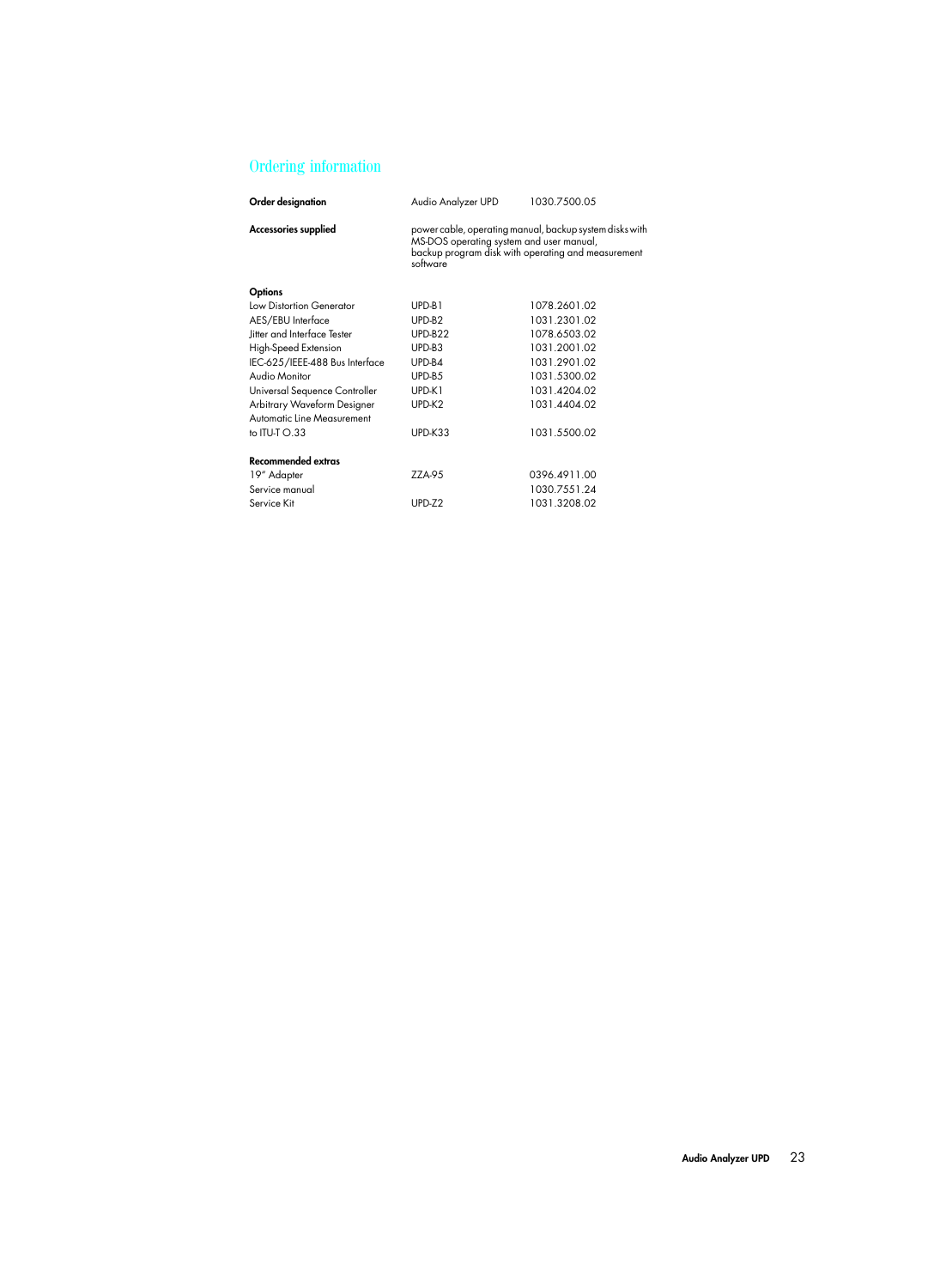# Ordering information

| Order designation              | Audio Analyzer UPD                                                                                                                                                    | 1030.7500.05 |
|--------------------------------|-----------------------------------------------------------------------------------------------------------------------------------------------------------------------|--------------|
| Accessories supplied           | power cable, operating manual, backup system disks with<br>MS-DOS operating system and user manual,<br>backup program disk with operating and measurement<br>software |              |
| <b>Options</b>                 |                                                                                                                                                                       |              |
| Low Distortion Generator       | UPD-B1                                                                                                                                                                | 1078.2601.02 |
| AES/EBU Interface              | UPD-B2                                                                                                                                                                | 1031.2301.02 |
| litter and Interface Tester    | UPD-B22                                                                                                                                                               | 1078.6503.02 |
| High-Speed Extension           | UPD-B3                                                                                                                                                                | 1031.2001.02 |
| IEC-625/IEEE-488 Bus Interface | UPD-B4                                                                                                                                                                | 1031.2901.02 |
| Audio Monitor                  | UPD-B5                                                                                                                                                                | 1031.5300.02 |
| Universal Sequence Controller  | UPD-K1                                                                                                                                                                | 1031.4204.02 |
| Arbitrary Waveform Designer    | UPD-K2                                                                                                                                                                | 1031.4404.02 |
| Automatic Line Measurement     |                                                                                                                                                                       |              |
| to $IU-J$ $O.33$               | UPD-K33                                                                                                                                                               | 1031.5500.02 |
| Recommended extras             |                                                                                                                                                                       |              |
| 19" Adapter                    | ZZA-95                                                                                                                                                                | 0396.4911.00 |
| Service manual                 |                                                                                                                                                                       | 1030.7551.24 |
| Service Kit                    | $UPD-Z2$                                                                                                                                                              | 1031.3208.02 |